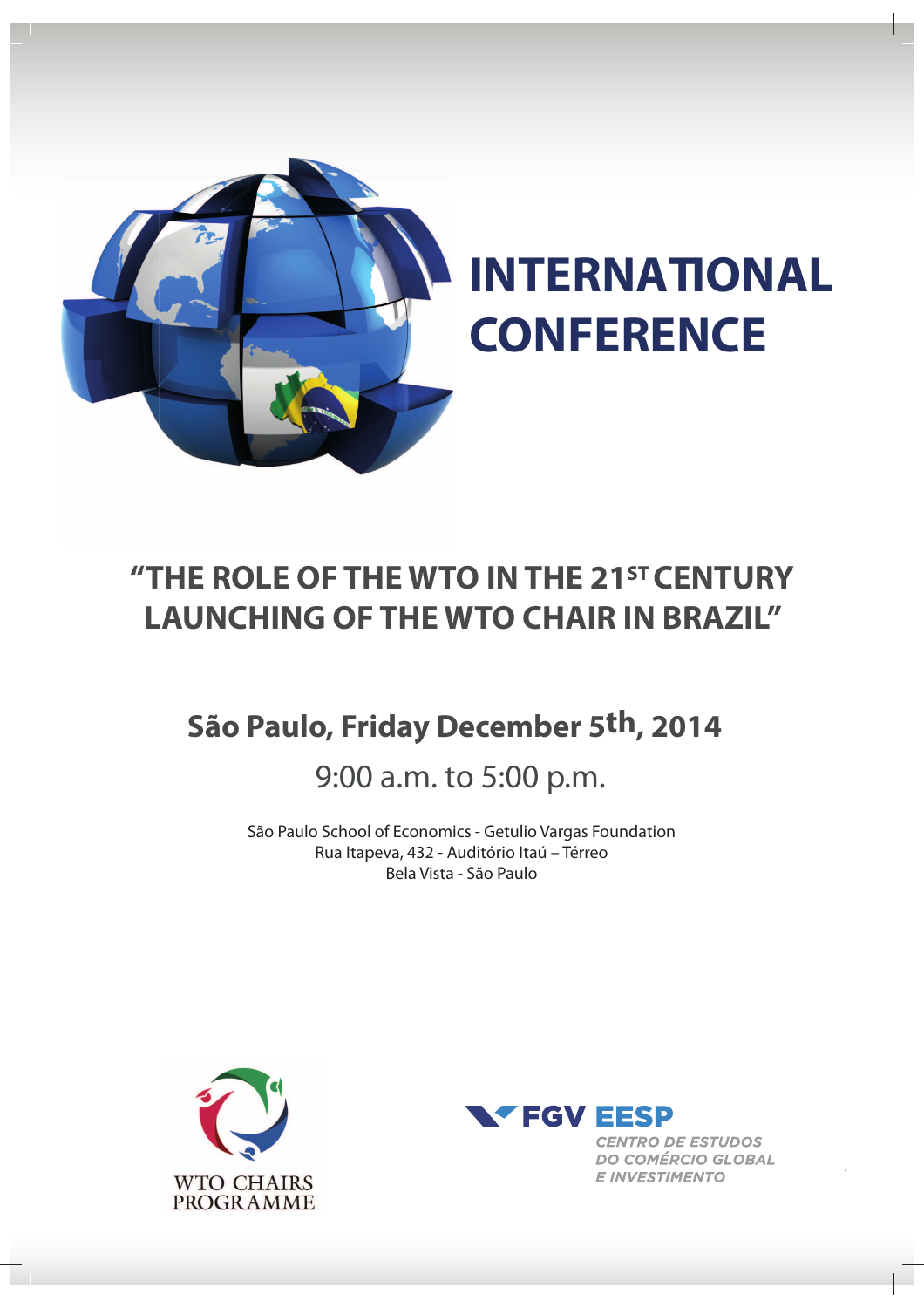

# **"THE ROLE OF THE WTO IN THE 21STCENTURY LAUNCHING OF THE WTO CHAIR IN BRAZIL"**

# **São Paulo, Friday December 5th, 2014**

# 9:00 a.m. to 5:00 p.m.

São Paulo School of Economics - Getulio Vargas Foundation Rua Itapeva, 432 - Auditório Itaú – Térreo Bela Vista - São Paulo





**CENTRO DE ESTUDOS DO COMÉRCIO GLOBAL E INVESTIMENTO**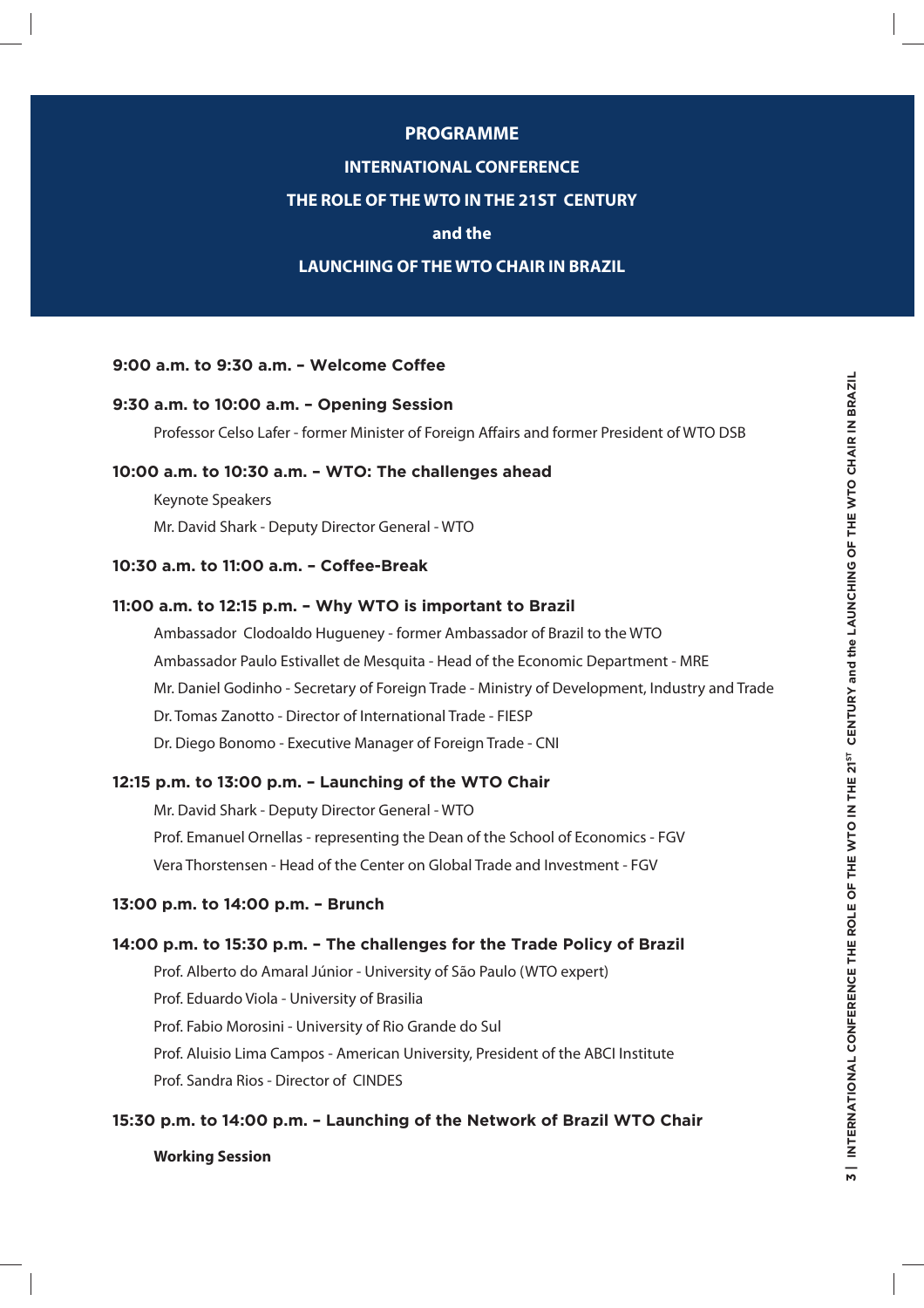#### **PROGRAMME**

#### **INTERNATIONAL CONFERENCE**

#### **THE ROLE OF THE WTO IN THE 21ST CENTURY**

#### **and the**

#### **LAUNCHING OF THE WTO CHAIR IN BRAZIL**

#### **9:00 a.m. to 9:30 a.m. – Welcome Coffee**

#### **9:30 a.m. to 10:00 a.m. – Opening Session**

Professor Celso Lafer - former Minister of Foreign Affairs and former President of WTO DSB

#### **10:00 a.m. to 10:30 a.m. – WTO: The challenges ahead**

Keynote Speakers Mr. David Shark - Deputy Director General - WTO

#### **10:30 a.m. to 11:00 a.m. – Coffee-Break**

#### **11:00 a.m. to 12:15 p.m. – Why WTO is important to Brazil**

Ambassador Clodoaldo Hugueney - former Ambassador of Brazil to the WTO Ambassador Paulo Estivallet de Mesquita - Head of the Economic Department - MRE Mr. Daniel Godinho - Secretary of Foreign Trade - Ministry of Development, Industry and Trade Dr. Tomas Zanotto - Director of International Trade - FIESP Dr. Diego Bonomo - Executive Manager of Foreign Trade - CNI

#### **12:15 p.m. to 13:00 p.m. – Launching of the WTO Chair**

Mr. David Shark - Deputy Director General - WTO Prof. Emanuel Ornellas - representing the Dean of the School of Economics - FGV Vera Thorstensen - Head of the Center on Global Trade and Investment - FGV

#### **13:00 p.m. to 14:00 p.m. – Brunch**

#### **14:00 p.m. to 15:30 p.m. – The challenges for the Trade Policy of Brazil**

Prof. Alberto do Amaral Júnior - University of São Paulo (WTO expert) Prof. Eduardo Viola - University of Brasilia Prof. Fabio Morosini - University of Rio Grande do Sul Prof. Aluisio Lima Campos - American University, President of the ABCI Institute Prof. Sandra Rios - Director of CINDES

#### **15:30 p.m. to 14:00 p.m. – Launching of the Network of Brazil WTO Chair**

#### **Working Session**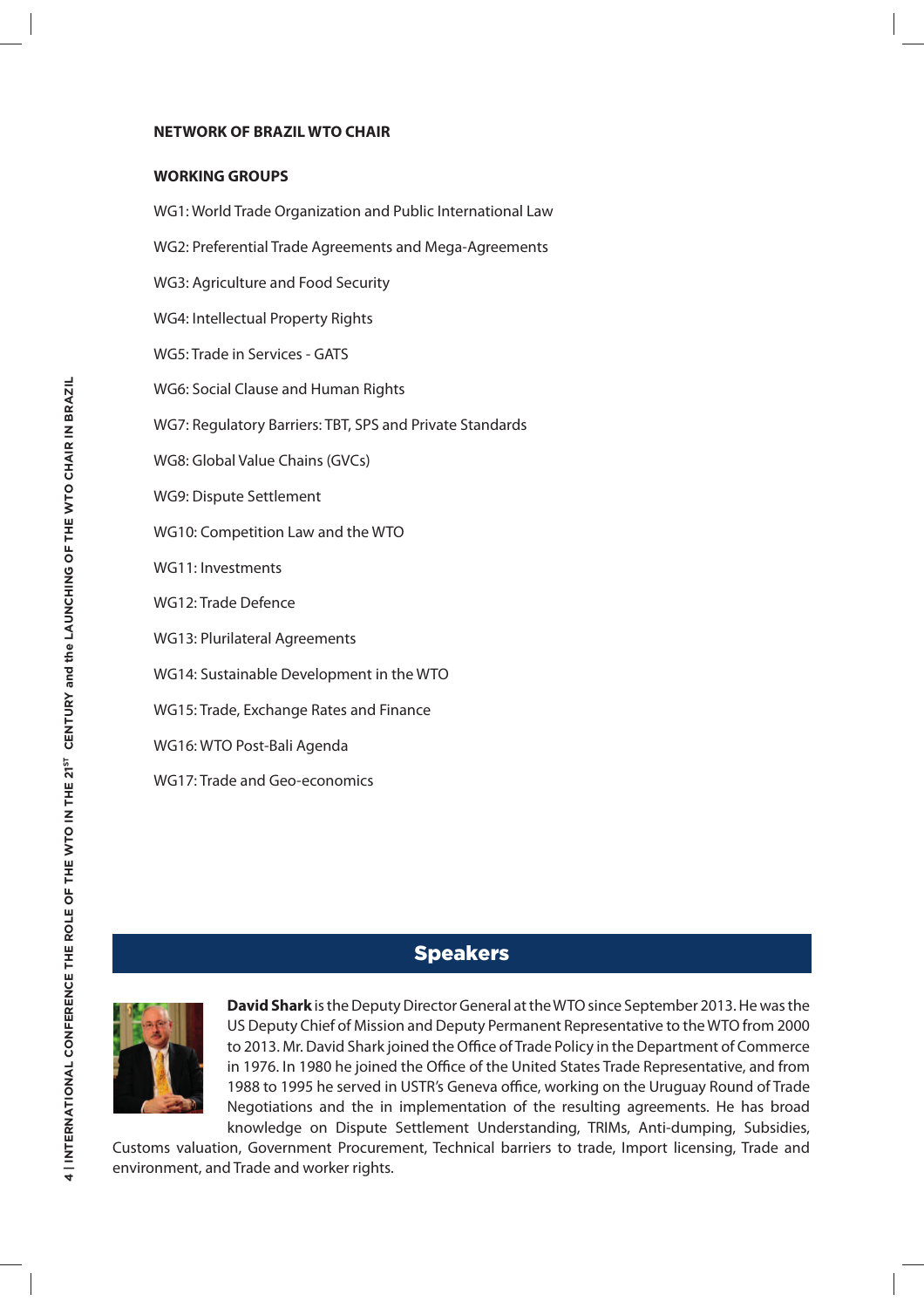#### **NETWORK OF BRAZIL WTO CHAIR**

#### **WORKING GROUPS**

WG1: World Trade Organization and Public International Law WG2: Preferential Trade Agreements and Mega-Agreements WG3: Agriculture and Food Security WG4: Intellectual Property Rights WG5: Trade in Services - GATS WG6: Social Clause and Human Rights WG7: Regulatory Barriers: TBT, SPS and Private Standards WG8: Global Value Chains (GVCs) WG9: Dispute Settlement

- WG10: Competition Law and the WTO
- WG11: Investments
- WG12: Trade Defence
- WG13: Plurilateral Agreements
- WG14: Sustainable Development in the WTO
- WG15: Trade, Exchange Rates and Finance
- WG16: WTO Post-Bali Agenda
- WG17: Trade and Geo-economics

## **Speakers**



**David Shark** is the Deputy Director General at the WTO since September 2013. He was the US Deputy Chief of Mission and Deputy Permanent Representative to the WTO from 2000 to 2013. Mr. David Shark joined the Office of Trade Policy in the Department of Commerce in 1976. In 1980 he joined the Office of the United States Trade Representative, and from 1988 to 1995 he served in USTR's Geneva office, working on the Uruguay Round of Trade Negotiations and the in implementation of the resulting agreements. He has broad knowledge on Dispute Settlement Understanding, TRIMs, Anti-dumping, Subsidies,

Customs valuation, Government Procurement, Technical barriers to trade, Import licensing, Trade and environment, and Trade and worker rights.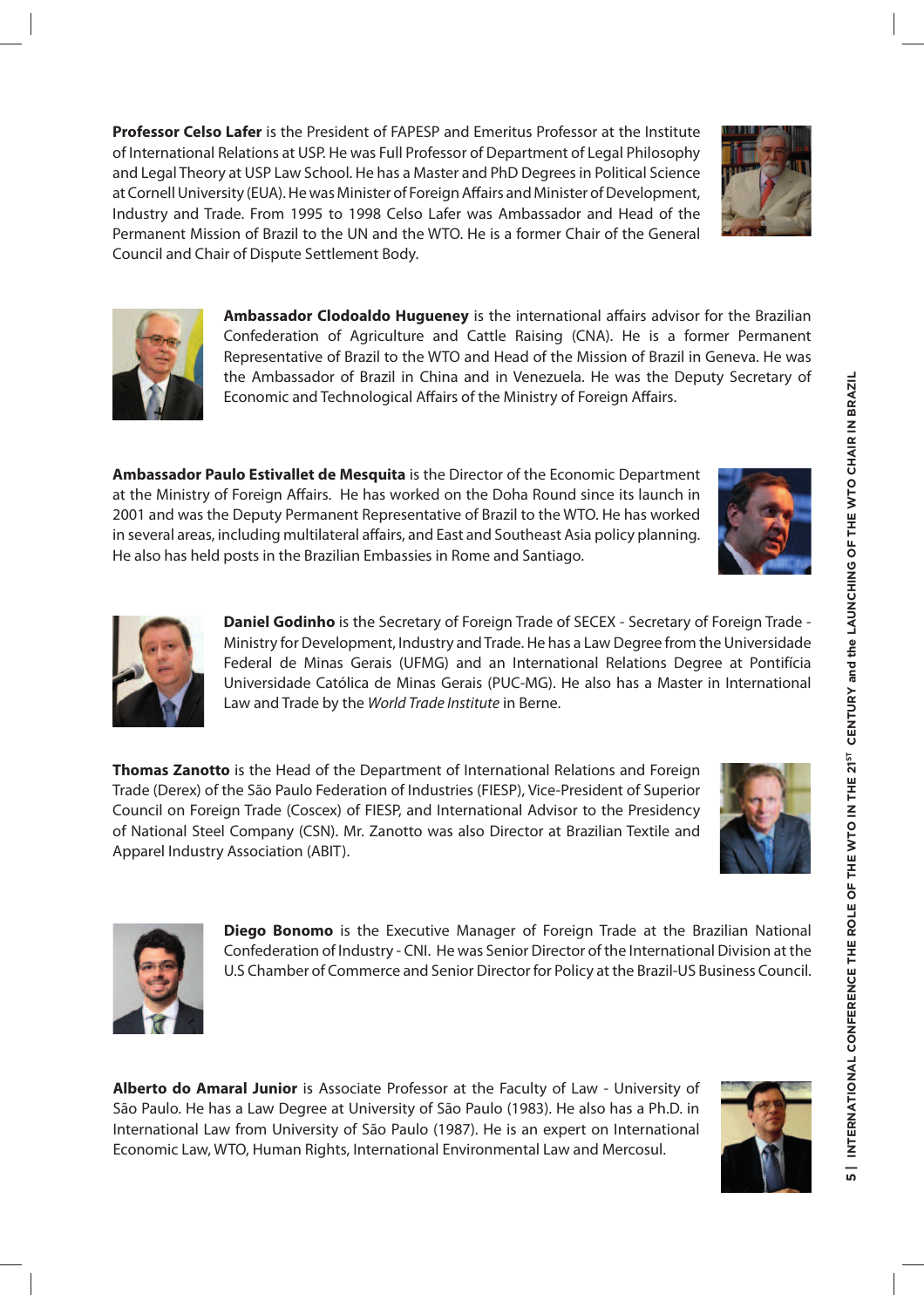**Professor Celso Lafer** is the President of FAPESP and Emeritus Professor at the Institute of International Relations at USP. He was Full Professor of Department of Legal Philosophy and Legal Theory at USP Law School. He has a Master and PhD Degrees in Political Science at Cornell University (EUA). He was Minister of Foreign Affairs and Minister of Development, Industry and Trade. From 1995 to 1998 Celso Lafer was Ambassador and Head of the Permanent Mission of Brazil to the UN and the WTO. He is a former Chair of the General Council and Chair of Dispute Settlement Body.

> **Ambassador Clodoaldo Hugueney** is the international affairs advisor for the Brazilian Confederation of Agriculture and Cattle Raising (CNA). He is a former Permanent Representative of Brazil to the WTO and Head of the Mission of Brazil in Geneva. He was the Ambassador of Brazil in China and in Venezuela. He was the Deputy Secretary of Economic and Technological Affairs of the Ministry of Foreign Affairs.

**Ambassador Paulo Estivallet de Mesquita** is the Director of the Economic Department at the Ministry of Foreign Affairs. He has worked on the Doha Round since its launch in 2001 and was the Deputy Permanent Representative of Brazil to the WTO. He has worked in several areas, including multilateral affairs, and East and Southeast Asia policy planning. He also has held posts in the Brazilian Embassies in Rome and Santiago.

> **Daniel Godinho** is the Secretary of Foreign Trade of SECEX - Secretary of Foreign Trade - Ministry for Development, Industry and Trade. He has a Law Degree from the Universidade Federal de Minas Gerais (UFMG) and an International Relations Degree at Pontifícia Universidade Católica de Minas Gerais (PUC-MG). He also has a Master in International Law and Trade by the World Trade Institute in Berne.

**Thomas Zanotto** is the Head of the Department of International Relations and Foreign Trade (Derex) of the São Paulo Federation of Industries (FIESP), Vice-President of Superior Council on Foreign Trade (Coscex) of FIESP, and International Advisor to the Presidency of National Steel Company (CSN). Mr. Zanotto was also Director at Brazilian Textile and Apparel Industry Association (ABIT).

> **Diego Bonomo** is the Executive Manager of Foreign Trade at the Brazilian National Confederation of Industry - CNI. He was Senior Director of the International Division at the U.S Chamber of Commerce and Senior Director for Policy at the Brazil-US Business Council.

**Alberto do Amaral Junior** is Associate Professor at the Faculty of Law - University of São Paulo. He has a Law Degree at University of São Paulo (1983). He also has a Ph.D. in International Law from University of São Paulo (1987). He is an expert on International Economic Law, WTO, Human Rights, International Environmental Law and Mercosul.











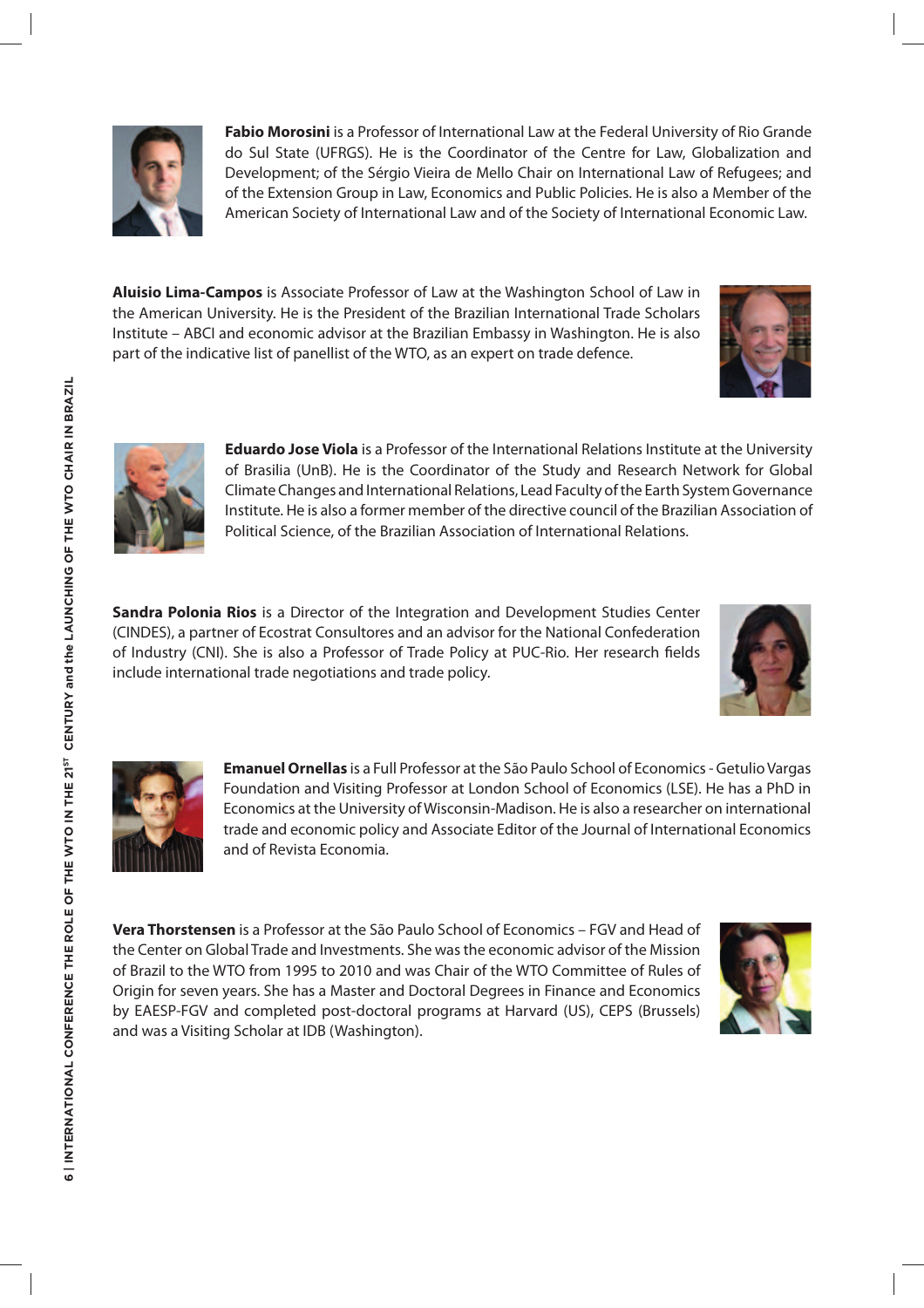

**Fabio Morosini** is a Professor of International Law at the Federal University of Rio Grande do Sul State (UFRGS). He is the Coordinator of the Centre for Law, Globalization and Development; of the Sérgio Vieira de Mello Chair on International Law of Refugees; and of the Extension Group in Law, Economics and Public Policies. He is also a Member of the American Society of International Law and of the Society of International Economic Law.

**Aluisio Lima-Campos** is Associate Professor of Law at the Washington School of Law in the American University. He is the President of the Brazilian International Trade Scholars Institute – ABCI and economic advisor at the Brazilian Embassy in Washington. He is also part of the indicative list of panellist of the WTO, as an expert on trade defence.





**Eduardo Jose Viola** is a Professor of the International Relations Institute at the University of Brasilia (UnB). He is the Coordinator of the Study and Research Network for Global Climate Changes and International Relations, Lead Faculty of the Earth System Governance Institute. He is also a former member of the directive council of the Brazilian Association of Political Science, of the Brazilian Association of International Relations.

**Sandra Polonia Rios** is a Director of the Integration and Development Studies Center (CINDES), a partner of Ecostrat Consultores and an advisor for the National Confederation of Industry (CNI). She is also a Professor of Trade Policy at PUC-Rio. Her research fields include international trade negotiations and trade policy.





**Emanuel Ornellas** is a Full Professor at the São Paulo School of Economics - Getulio Vargas Foundation and Visiting Professor at London School of Economics (LSE). He has a PhD in Economics at the University of Wisconsin-Madison. He is also a researcher on international trade and economic policy and Associate Editor of the Journal of International Economics and of Revista Economia.

**Vera Thorstensen** is a Professor at the São Paulo School of Economics – FGV and Head of the Center on Global Trade and Investments. She was the economic advisor of the Mission of Brazil to the WTO from 1995 to 2010 and was Chair of the WTO Committee of Rules of Origin for seven years. She has a Master and Doctoral Degrees in Finance and Economics by EAESP-FGV and completed post-doctoral programs at Harvard (US), CEPS (Brussels) and was a Visiting Scholar at IDB (Washington).

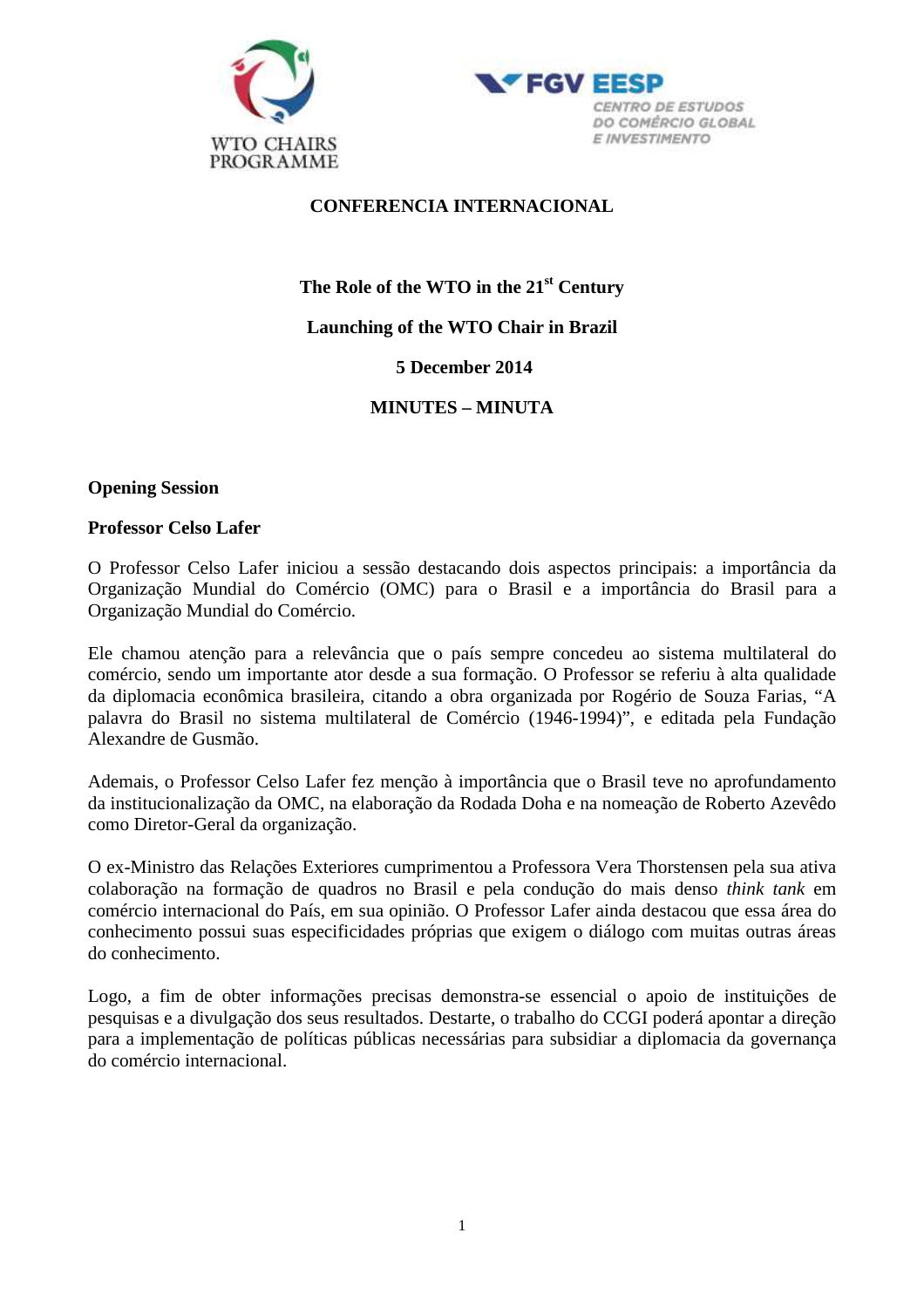



### **CONFERENCIA INTERNACIONAL**

# **The Role of the WTO in the 21st Century Launching of the WTO Chair in Brazil 5 December 2014**

## **MINUTES – MINUTA**

### **Opening Session**

### **Professor Celso Lafer**

O Professor Celso Lafer iniciou a sessão destacando dois aspectos principais: a importância da Organização Mundial do Comércio (OMC) para o Brasil e a importância do Brasil para a Organização Mundial do Comércio.

Ele chamou atenção para a relevância que o país sempre concedeu ao sistema multilateral do comércio, sendo um importante ator desde a sua formação. O Professor se referiu à alta qualidade da diplomacia econômica brasileira, citando a obra organizada por Rogério de Souza Farias, "A palavra do Brasil no sistema multilateral de Comércio (1946-1994)", e editada pela Fundação Alexandre de Gusmão.

Ademais, o Professor Celso Lafer fez menção à importância que o Brasil teve no aprofundamento da institucionalização da OMC, na elaboração da Rodada Doha e na nomeação de Roberto Azevêdo como Diretor-Geral da organização.

O ex-Ministro das Relações Exteriores cumprimentou a Professora Vera Thorstensen pela sua ativa colaboração na formação de quadros no Brasil e pela condução do mais denso *think tank* em comércio internacional do País, em sua opinião. O Professor Lafer ainda destacou que essa área do conhecimento possui suas especificidades próprias que exigem o diálogo com muitas outras áreas do conhecimento.

Logo, a fim de obter informações precisas demonstra-se essencial o apoio de instituições de pesquisas e a divulgação dos seus resultados. Destarte, o trabalho do CCGI poderá apontar a direção para a implementação de políticas públicas necessárias para subsidiar a diplomacia da governança do comércio internacional.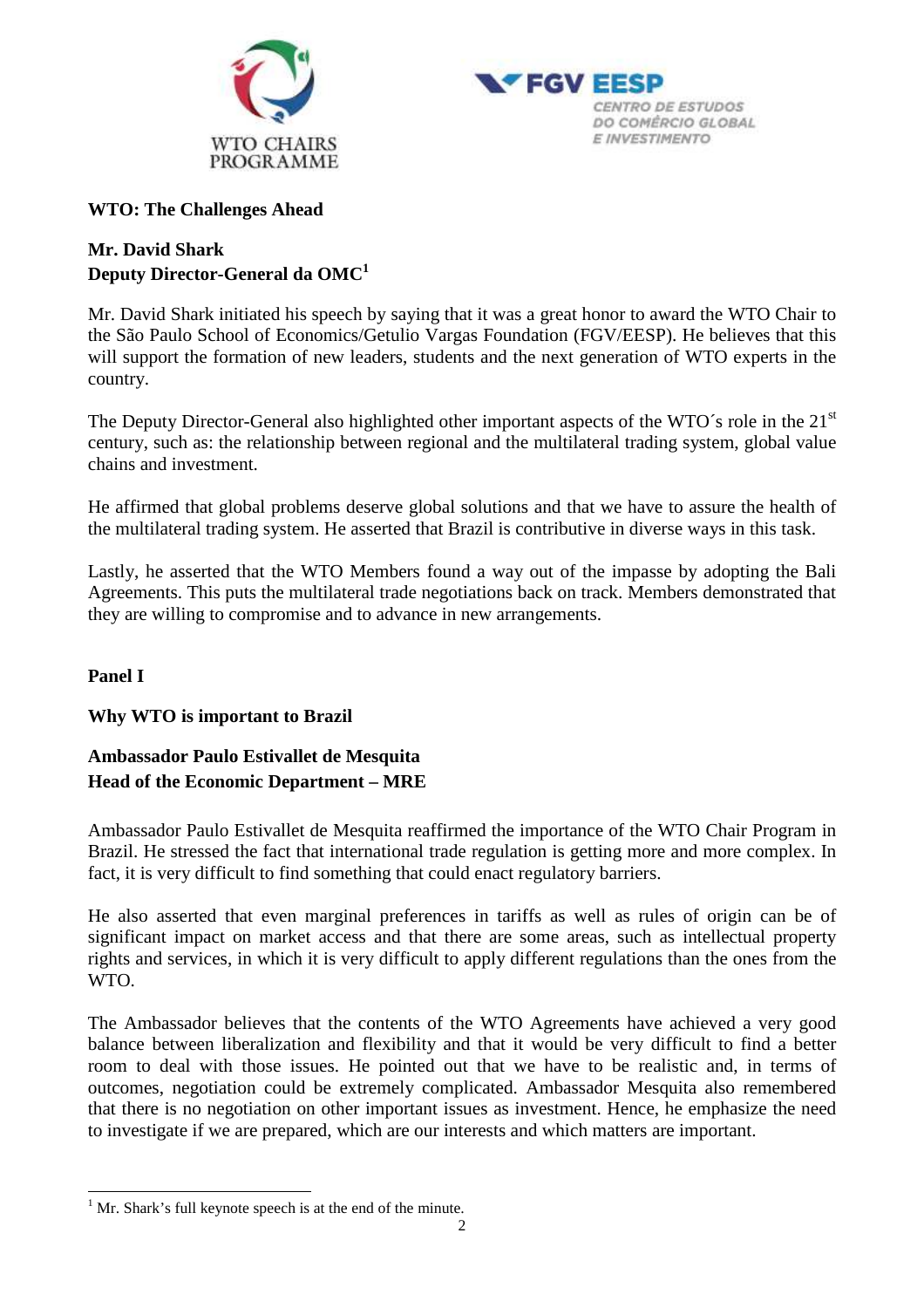



### **WTO: The Challenges Ahead**

# **Mr. David Shark Deputy Director-General da OMC<sup>1</sup>**

Mr. David Shark initiated his speech by saying that it was a great honor to award the WTO Chair to the São Paulo School of Economics/Getulio Vargas Foundation (FGV/EESP). He believes that this will support the formation of new leaders, students and the next generation of WTO experts in the country.

The Deputy Director-General also highlighted other important aspects of the WTO´s role in the 21<sup>st</sup> century, such as: the relationship between regional and the multilateral trading system, global value chains and investment.

He affirmed that global problems deserve global solutions and that we have to assure the health of the multilateral trading system. He asserted that Brazil is contributive in diverse ways in this task.

Lastly, he asserted that the WTO Members found a way out of the impasse by adopting the Bali Agreements. This puts the multilateral trade negotiations back on track. Members demonstrated that they are willing to compromise and to advance in new arrangements.

## **Panel I**

 $\overline{a}$ 

## **Why WTO is important to Brazil**

# **Ambassador Paulo Estivallet de Mesquita Head of the Economic Department – MRE**

Ambassador Paulo Estivallet de Mesquita reaffirmed the importance of the WTO Chair Program in Brazil. He stressed the fact that international trade regulation is getting more and more complex. In fact, it is very difficult to find something that could enact regulatory barriers.

He also asserted that even marginal preferences in tariffs as well as rules of origin can be of significant impact on market access and that there are some areas, such as intellectual property rights and services, in which it is very difficult to apply different regulations than the ones from the WTO.

The Ambassador believes that the contents of the WTO Agreements have achieved a very good balance between liberalization and flexibility and that it would be very difficult to find a better room to deal with those issues. He pointed out that we have to be realistic and, in terms of outcomes, negotiation could be extremely complicated. Ambassador Mesquita also remembered that there is no negotiation on other important issues as investment. Hence, he emphasize the need to investigate if we are prepared, which are our interests and which matters are important.

 $<sup>1</sup>$  Mr. Shark's full keynote speech is at the end of the minute.</sup>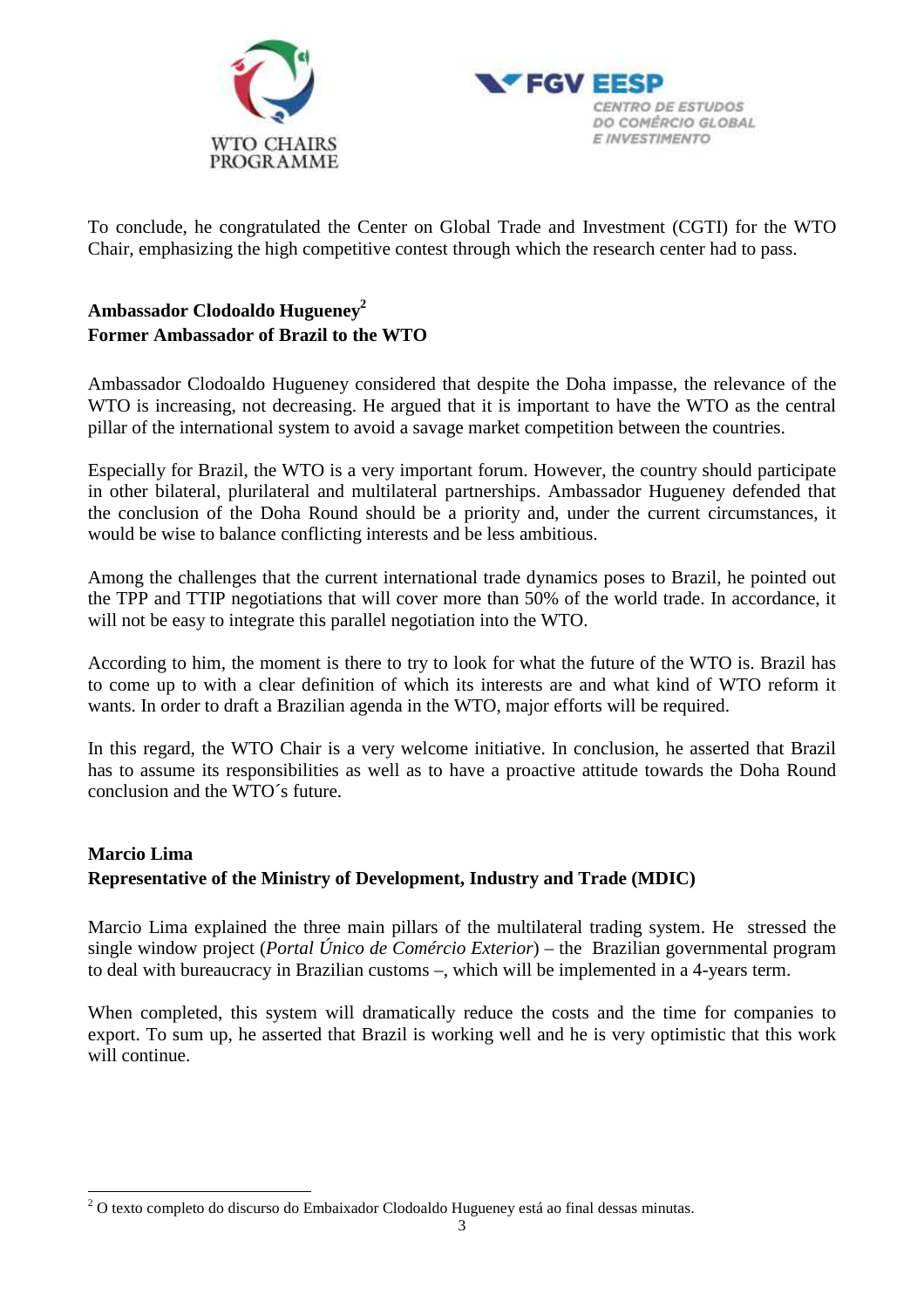



To conclude, he congratulated the Center on Global Trade and Investment (CGTI) for the WTO Chair, emphasizing the high competitive contest through which the research center had to pass.

# **Ambassador Clodoaldo Hugueney<sup>2</sup> Former Ambassador of Brazil to the WTO**

Ambassador Clodoaldo Hugueney considered that despite the Doha impasse, the relevance of the WTO is increasing, not decreasing. He argued that it is important to have the WTO as the central pillar of the international system to avoid a savage market competition between the countries.

Especially for Brazil, the WTO is a very important forum. However, the country should participate in other bilateral, plurilateral and multilateral partnerships. Ambassador Hugueney defended that the conclusion of the Doha Round should be a priority and, under the current circumstances, it would be wise to balance conflicting interests and be less ambitious.

Among the challenges that the current international trade dynamics poses to Brazil, he pointed out the TPP and TTIP negotiations that will cover more than 50% of the world trade. In accordance, it will not be easy to integrate this parallel negotiation into the WTO.

According to him, the moment is there to try to look for what the future of the WTO is. Brazil has to come up to with a clear definition of which its interests are and what kind of WTO reform it wants. In order to draft a Brazilian agenda in the WTO, major efforts will be required.

In this regard, the WTO Chair is a very welcome initiative. In conclusion, he asserted that Brazil has to assume its responsibilities as well as to have a proactive attitude towards the Doha Round conclusion and the WTO´s future.

# **Marcio Lima Representative of the Ministry of Development, Industry and Trade (MDIC)**

Marcio Lima explained the three main pillars of the multilateral trading system. He stressed the single window project (*Portal Único de Comércio Exterior*) – the Brazilian governmental program to deal with bureaucracy in Brazilian customs –, which will be implemented in a 4-years term.

When completed, this system will dramatically reduce the costs and the time for companies to export. To sum up, he asserted that Brazil is working well and he is very optimistic that this work will continue.

 $\overline{a}$ 

 $2$  O texto completo do discurso do Embaixador Clodoaldo Hugueney está ao final dessas minutas.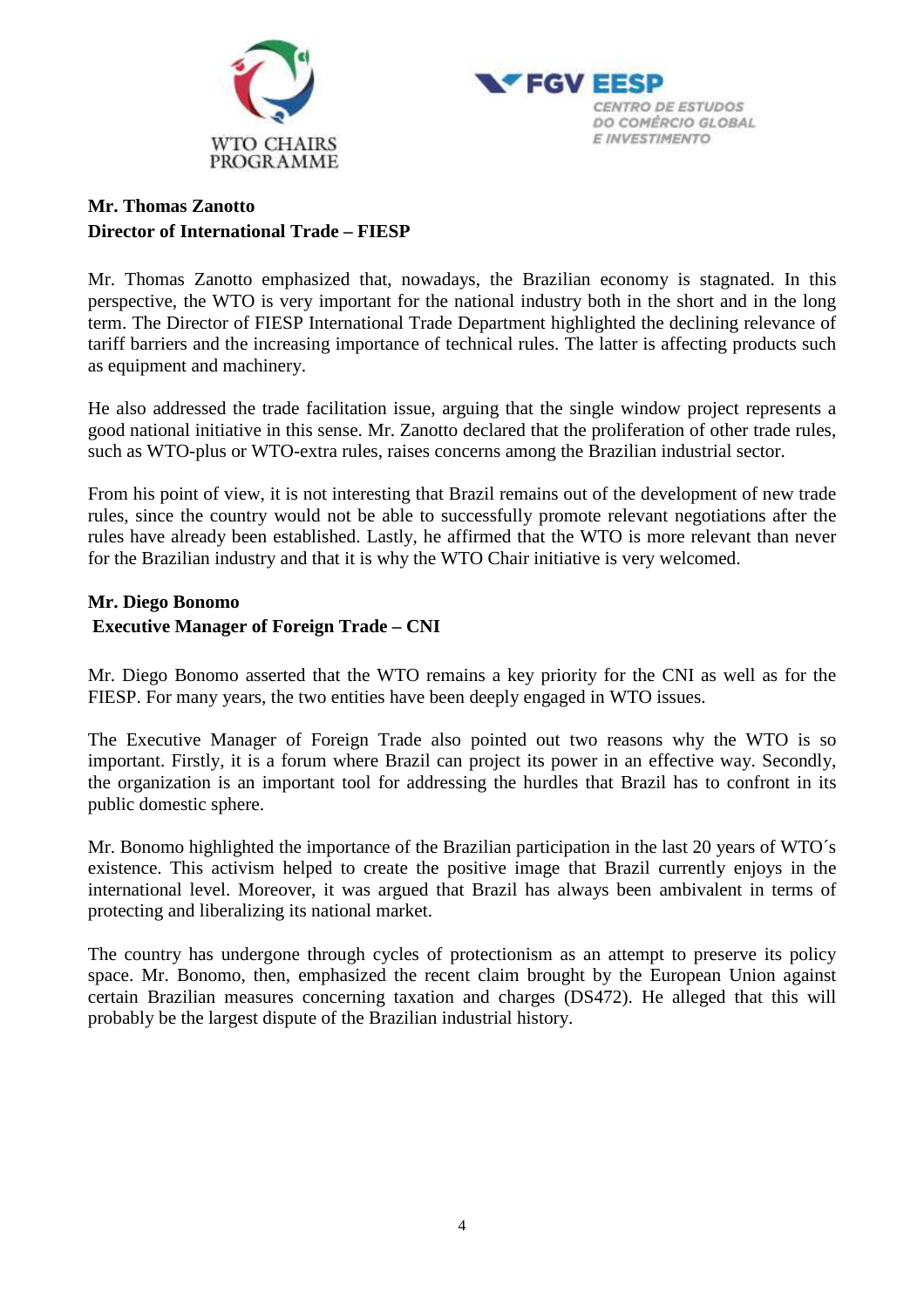



# **Mr. Thomas Zanotto Director of International Trade – FIESP**

Mr. Thomas Zanotto emphasized that, nowadays, the Brazilian economy is stagnated. In this perspective, the WTO is very important for the national industry both in the short and in the long term. The Director of FIESP International Trade Department highlighted the declining relevance of tariff barriers and the increasing importance of technical rules. The latter is affecting products such as equipment and machinery.

He also addressed the trade facilitation issue, arguing that the single window project represents a good national initiative in this sense. Mr. Zanotto declared that the proliferation of other trade rules, such as WTO-plus or WTO-extra rules, raises concerns among the Brazilian industrial sector.

From his point of view, it is not interesting that Brazil remains out of the development of new trade rules, since the country would not be able to successfully promote relevant negotiations after the rules have already been established. Lastly, he affirmed that the WTO is more relevant than never for the Brazilian industry and that it is why the WTO Chair initiative is very welcomed.

### **Mr. Diego Bonomo Executive Manager of Foreign Trade – CNI**

Mr. Diego Bonomo asserted that the WTO remains a key priority for the CNI as well as for the FIESP. For many years, the two entities have been deeply engaged in WTO issues.

The Executive Manager of Foreign Trade also pointed out two reasons why the WTO is so important. Firstly, it is a forum where Brazil can project its power in an effective way. Secondly, the organization is an important tool for addressing the hurdles that Brazil has to confront in its public domestic sphere.

Mr. Bonomo highlighted the importance of the Brazilian participation in the last 20 years of WTO's existence. This activism helped to create the positive image that Brazil currently enjoys in the international level. Moreover, it was argued that Brazil has always been ambivalent in terms of protecting and liberalizing its national market.

The country has undergone through cycles of protectionism as an attempt to preserve its policy space. Mr. Bonomo, then, emphasized the recent claim brought by the European Union against certain Brazilian measures concerning taxation and charges (DS472). He alleged that this will probably be the largest dispute of the Brazilian industrial history.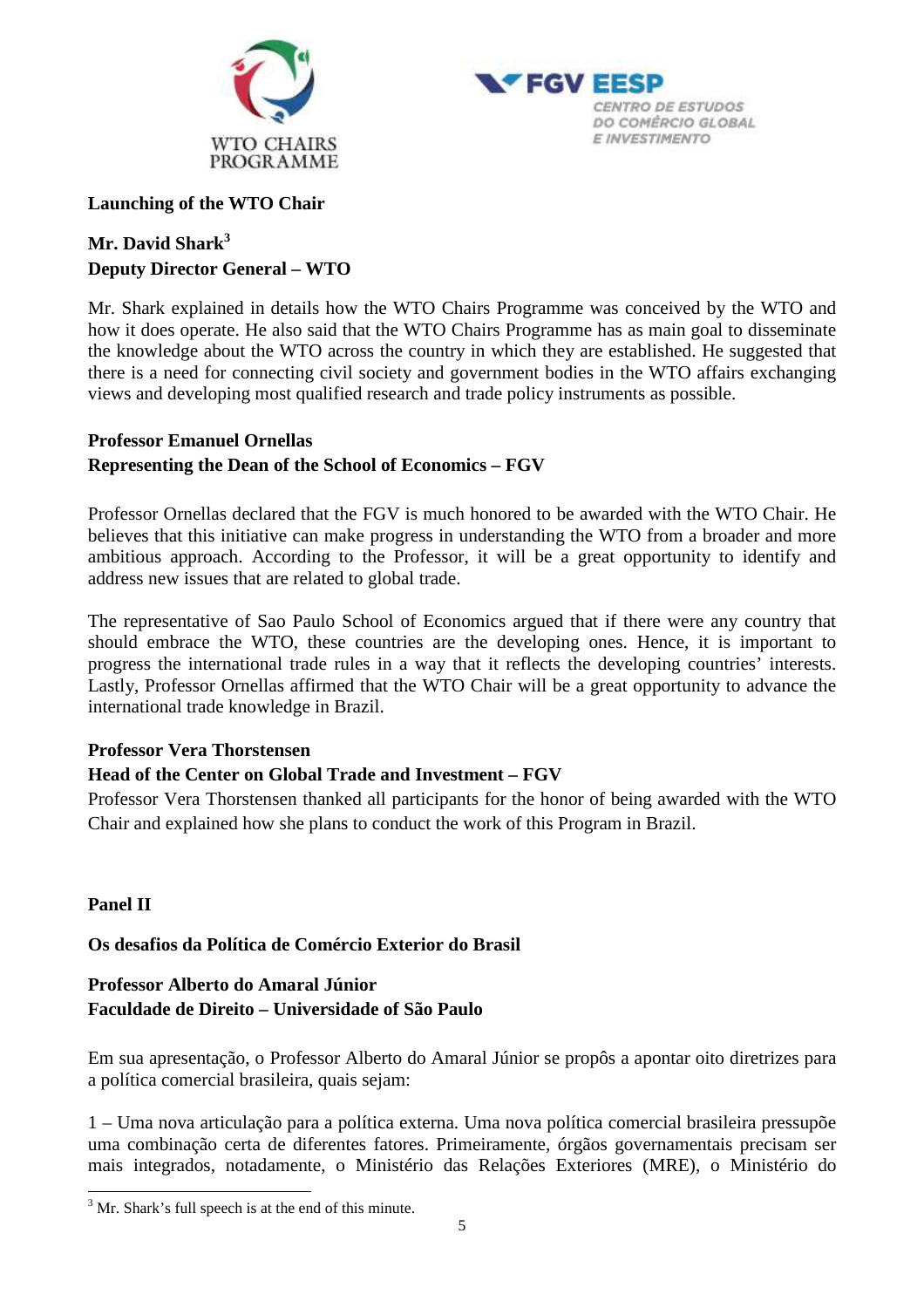



### **Launching of the WTO Chair**

# **Mr. David Shark<sup>3</sup> Deputy Director General – WTO**

Mr. Shark explained in details how the WTO Chairs Programme was conceived by the WTO and how it does operate. He also said that the WTO Chairs Programme has as main goal to disseminate the knowledge about the WTO across the country in which they are established. He suggested that there is a need for connecting civil society and government bodies in the WTO affairs exchanging views and developing most qualified research and trade policy instruments as possible.

# **Professor Emanuel Ornellas Representing the Dean of the School of Economics – FGV**

Professor Ornellas declared that the FGV is much honored to be awarded with the WTO Chair. He believes that this initiative can make progress in understanding the WTO from a broader and more ambitious approach. According to the Professor, it will be a great opportunity to identify and address new issues that are related to global trade.

The representative of Sao Paulo School of Economics argued that if there were any country that should embrace the WTO, these countries are the developing ones. Hence, it is important to progress the international trade rules in a way that it reflects the developing countries' interests. Lastly, Professor Ornellas affirmed that the WTO Chair will be a great opportunity to advance the international trade knowledge in Brazil.

## **Professor Vera Thorstensen**

# **Head of the Center on Global Trade and Investment – FGV**

Professor Vera Thorstensen thanked all participants for the honor of being awarded with the WTO Chair and explained how she plans to conduct the work of this Program in Brazil.

## **Panel II**

 $\overline{a}$ 

**Os desafios da Política de Comércio Exterior do Brasil** 

# **Professor Alberto do Amaral Júnior Faculdade de Direito – Universidade of São Paulo**

Em sua apresentação, o Professor Alberto do Amaral Júnior se propôs a apontar oito diretrizes para a política comercial brasileira, quais sejam:

1 – Uma nova articulação para a política externa. Uma nova política comercial brasileira pressupõe uma combinação certa de diferentes fatores. Primeiramente, órgãos governamentais precisam ser mais integrados, notadamente, o Ministério das Relações Exteriores (MRE), o Ministério do

 $3$  Mr. Shark's full speech is at the end of this minute.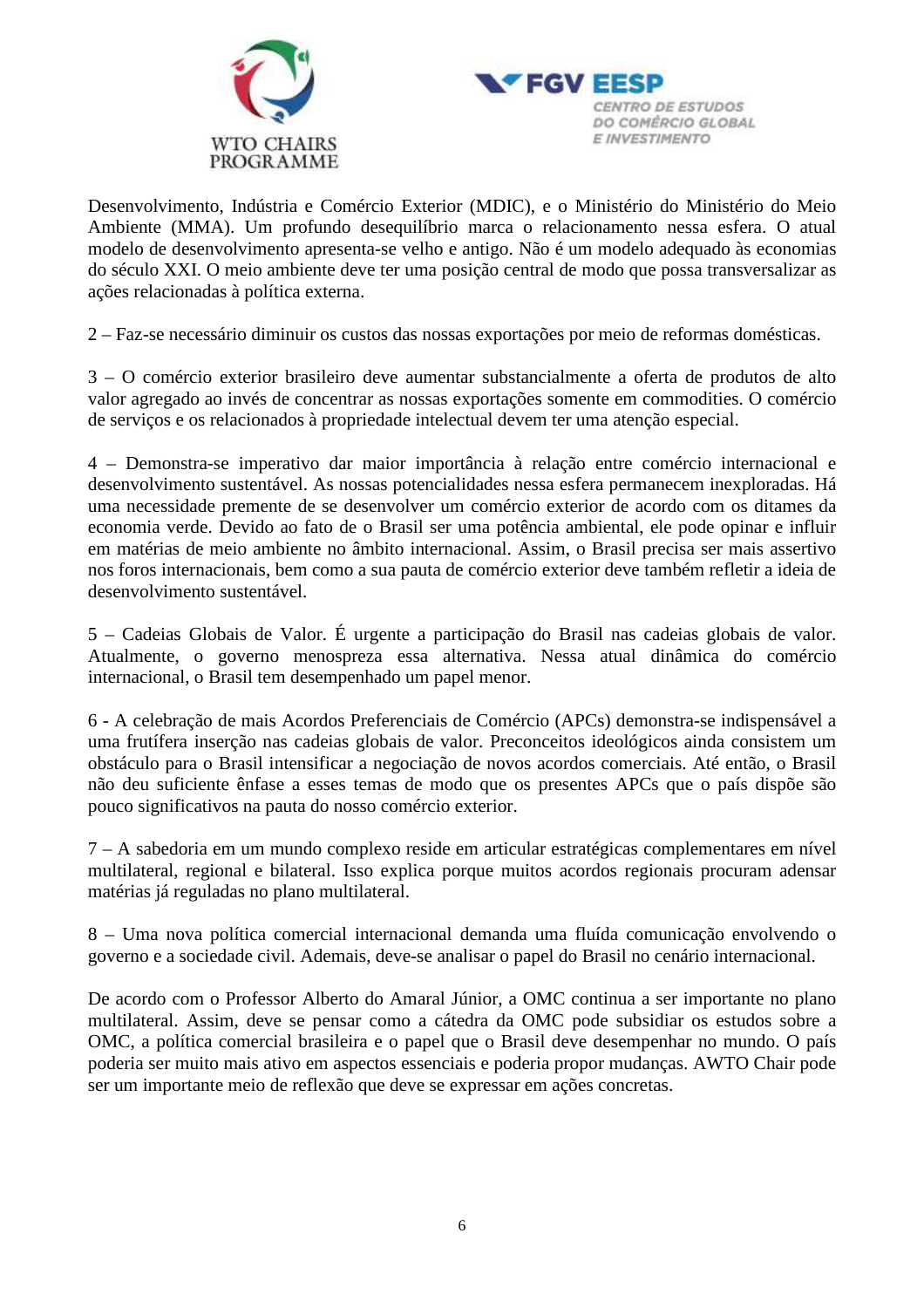



Desenvolvimento, Indústria e Comércio Exterior (MDIC), e o Ministério do Ministério do Meio Ambiente (MMA). Um profundo desequilíbrio marca o relacionamento nessa esfera. O atual modelo de desenvolvimento apresenta-se velho e antigo. Não é um modelo adequado às economias do século XXI. O meio ambiente deve ter uma posição central de modo que possa transversalizar as ações relacionadas à política externa.

2 – Faz-se necessário diminuir os custos das nossas exportações por meio de reformas domésticas.

3 – O comércio exterior brasileiro deve aumentar substancialmente a oferta de produtos de alto valor agregado ao invés de concentrar as nossas exportações somente em commodities. O comércio de serviços e os relacionados à propriedade intelectual devem ter uma atenção especial.

4 – Demonstra-se imperativo dar maior importância à relação entre comércio internacional e desenvolvimento sustentável. As nossas potencialidades nessa esfera permanecem inexploradas. Há uma necessidade premente de se desenvolver um comércio exterior de acordo com os ditames da economia verde. Devido ao fato de o Brasil ser uma potência ambiental, ele pode opinar e influir em matérias de meio ambiente no âmbito internacional. Assim, o Brasil precisa ser mais assertivo nos foros internacionais, bem como a sua pauta de comércio exterior deve também refletir a ideia de desenvolvimento sustentável.

5 – Cadeias Globais de Valor. É urgente a participação do Brasil nas cadeias globais de valor. Atualmente, o governo menospreza essa alternativa. Nessa atual dinâmica do comércio internacional, o Brasil tem desempenhado um papel menor.

6 - A celebração de mais Acordos Preferenciais de Comércio (APCs) demonstra-se indispensável a uma frutífera inserção nas cadeias globais de valor. Preconceitos ideológicos ainda consistem um obstáculo para o Brasil intensificar a negociação de novos acordos comerciais. Até então, o Brasil não deu suficiente ênfase a esses temas de modo que os presentes APCs que o país dispõe são pouco significativos na pauta do nosso comércio exterior.

7 – A sabedoria em um mundo complexo reside em articular estratégicas complementares em nível multilateral, regional e bilateral. Isso explica porque muitos acordos regionais procuram adensar matérias já reguladas no plano multilateral.

8 – Uma nova política comercial internacional demanda uma fluída comunicação envolvendo o governo e a sociedade civil. Ademais, deve-se analisar o papel do Brasil no cenário internacional.

De acordo com o Professor Alberto do Amaral Júnior, a OMC continua a ser importante no plano multilateral. Assim, deve se pensar como a cátedra da OMC pode subsidiar os estudos sobre a OMC, a política comercial brasileira e o papel que o Brasil deve desempenhar no mundo. O país poderia ser muito mais ativo em aspectos essenciais e poderia propor mudanças. AWTO Chair pode ser um importante meio de reflexão que deve se expressar em ações concretas.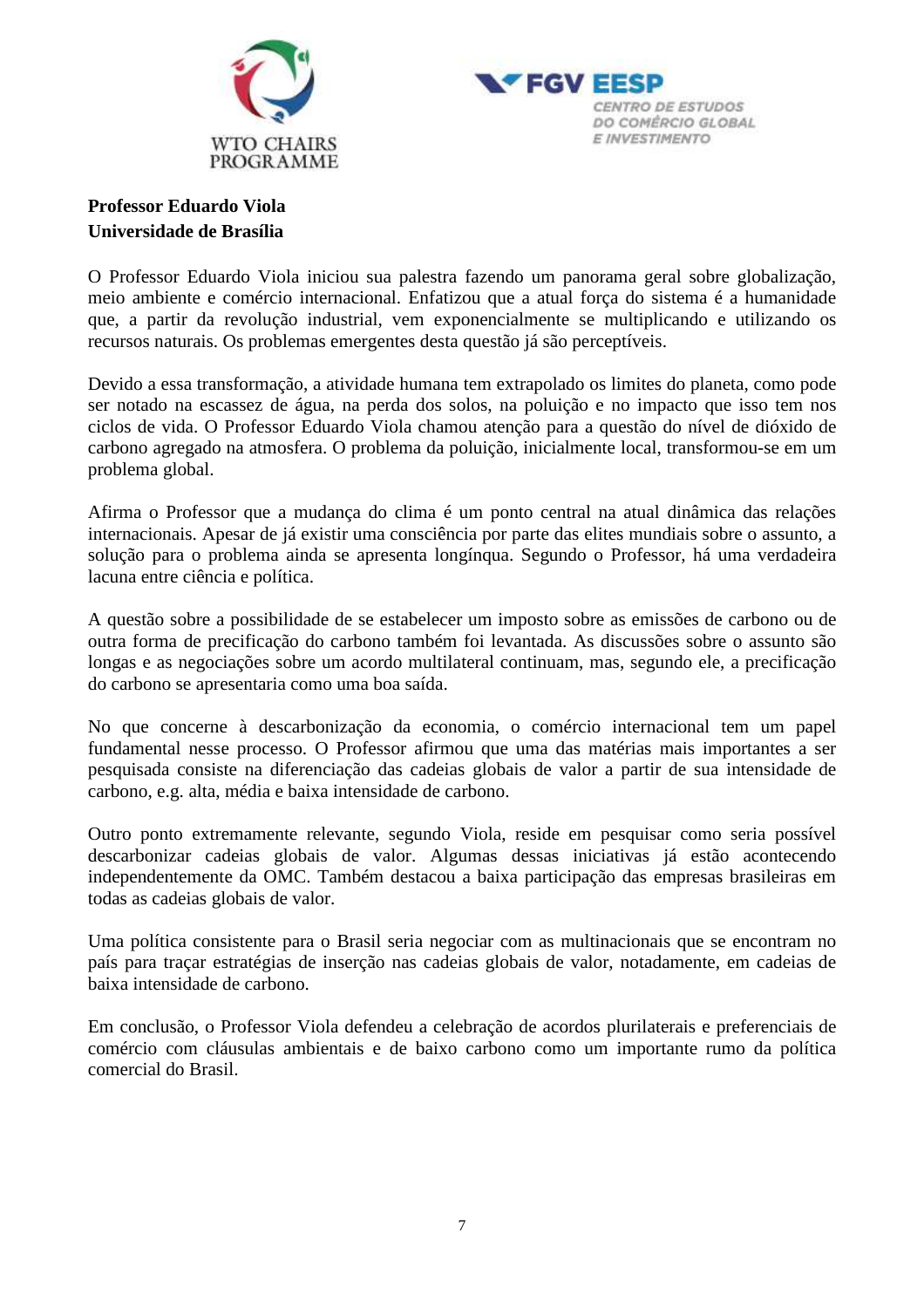



# **Professor Eduardo Viola Universidade de Brasília**

O Professor Eduardo Viola iniciou sua palestra fazendo um panorama geral sobre globalização, meio ambiente e comércio internacional. Enfatizou que a atual força do sistema é a humanidade que, a partir da revolução industrial, vem exponencialmente se multiplicando e utilizando os recursos naturais. Os problemas emergentes desta questão já são perceptíveis.

Devido a essa transformação, a atividade humana tem extrapolado os limites do planeta, como pode ser notado na escassez de água, na perda dos solos, na poluição e no impacto que isso tem nos ciclos de vida. O Professor Eduardo Viola chamou atenção para a questão do nível de dióxido de carbono agregado na atmosfera. O problema da poluição, inicialmente local, transformou-se em um problema global.

Afirma o Professor que a mudança do clima é um ponto central na atual dinâmica das relações internacionais. Apesar de já existir uma consciência por parte das elites mundiais sobre o assunto, a solução para o problema ainda se apresenta longínqua. Segundo o Professor, há uma verdadeira lacuna entre ciência e política.

A questão sobre a possibilidade de se estabelecer um imposto sobre as emissões de carbono ou de outra forma de precificação do carbono também foi levantada. As discussões sobre o assunto são longas e as negociações sobre um acordo multilateral continuam, mas, segundo ele, a precificação do carbono se apresentaria como uma boa saída.

No que concerne à descarbonização da economia, o comércio internacional tem um papel fundamental nesse processo. O Professor afirmou que uma das matérias mais importantes a ser pesquisada consiste na diferenciação das cadeias globais de valor a partir de sua intensidade de carbono, e.g. alta, média e baixa intensidade de carbono.

Outro ponto extremamente relevante, segundo Viola, reside em pesquisar como seria possível descarbonizar cadeias globais de valor. Algumas dessas iniciativas já estão acontecendo independentemente da OMC. Também destacou a baixa participação das empresas brasileiras em todas as cadeias globais de valor.

Uma política consistente para o Brasil seria negociar com as multinacionais que se encontram no país para traçar estratégias de inserção nas cadeias globais de valor, notadamente, em cadeias de baixa intensidade de carbono.

Em conclusão, o Professor Viola defendeu a celebração de acordos plurilaterais e preferenciais de comércio com cláusulas ambientais e de baixo carbono como um importante rumo da política comercial do Brasil.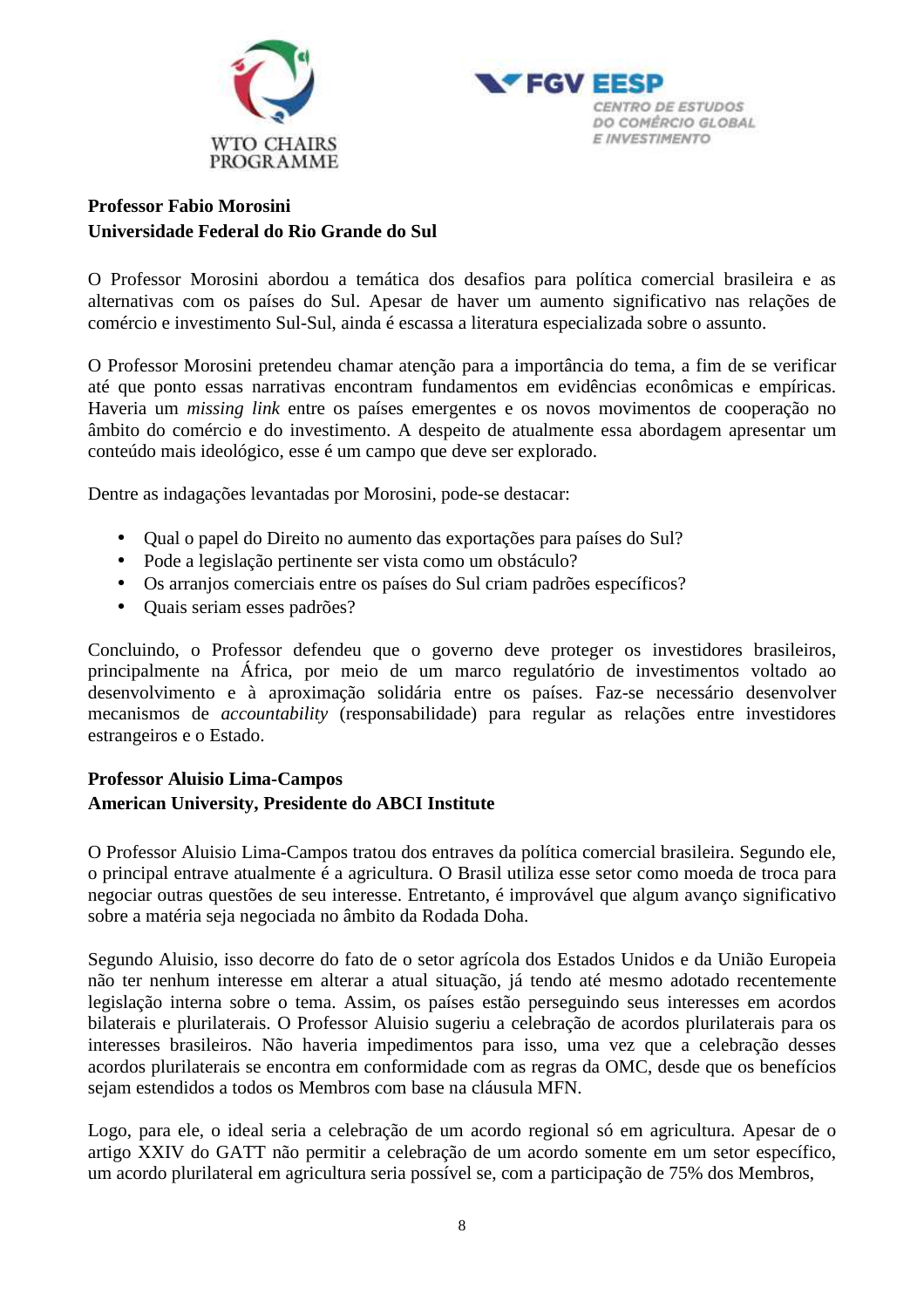



# **Professor Fabio Morosini Universidade Federal do Rio Grande do Sul**

O Professor Morosini abordou a temática dos desafios para política comercial brasileira e as alternativas com os países do Sul. Apesar de haver um aumento significativo nas relações de comércio e investimento Sul-Sul, ainda é escassa a literatura especializada sobre o assunto.

O Professor Morosini pretendeu chamar atenção para a importância do tema, a fim de se verificar até que ponto essas narrativas encontram fundamentos em evidências econômicas e empíricas. Haveria um *missing link* entre os países emergentes e os novos movimentos de cooperação no âmbito do comércio e do investimento. A despeito de atualmente essa abordagem apresentar um conteúdo mais ideológico, esse é um campo que deve ser explorado.

Dentre as indagações levantadas por Morosini, pode-se destacar:

- Qual o papel do Direito no aumento das exportações para países do Sul?
- Pode a legislação pertinente ser vista como um obstáculo?
- Os arranjos comerciais entre os países do Sul criam padrões específicos?
- Quais seriam esses padrões?

Concluindo, o Professor defendeu que o governo deve proteger os investidores brasileiros, principalmente na África, por meio de um marco regulatório de investimentos voltado ao desenvolvimento e à aproximação solidária entre os países. Faz-se necessário desenvolver mecanismos de *accountability* (responsabilidade) para regular as relações entre investidores estrangeiros e o Estado.

# **Professor Aluisio Lima-Campos American University, Presidente do ABCI Institute**

O Professor Aluisio Lima-Campos tratou dos entraves da política comercial brasileira. Segundo ele, o principal entrave atualmente é a agricultura. O Brasil utiliza esse setor como moeda de troca para negociar outras questões de seu interesse. Entretanto, é improvável que algum avanço significativo sobre a matéria seja negociada no âmbito da Rodada Doha.

Segundo Aluisio, isso decorre do fato de o setor agrícola dos Estados Unidos e da União Europeia não ter nenhum interesse em alterar a atual situação, já tendo até mesmo adotado recentemente legislação interna sobre o tema. Assim, os países estão perseguindo seus interesses em acordos bilaterais e plurilaterais. O Professor Aluisio sugeriu a celebração de acordos plurilaterais para os interesses brasileiros. Não haveria impedimentos para isso, uma vez que a celebração desses acordos plurilaterais se encontra em conformidade com as regras da OMC, desde que os benefícios sejam estendidos a todos os Membros com base na cláusula MFN.

Logo, para ele, o ideal seria a celebração de um acordo regional só em agricultura. Apesar de o artigo XXIV do GATT não permitir a celebração de um acordo somente em um setor específico, um acordo plurilateral em agricultura seria possível se, com a participação de 75% dos Membros,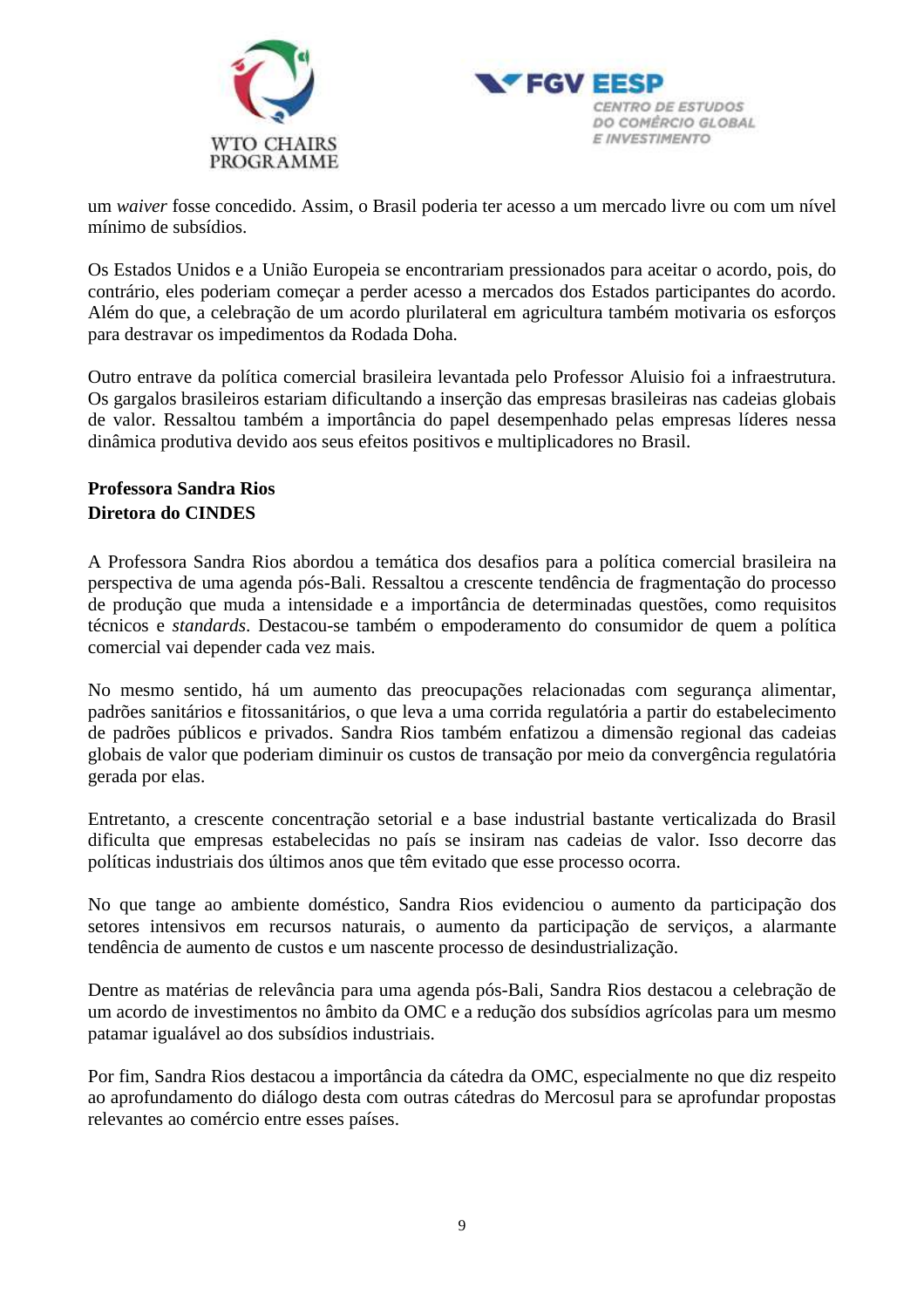



um *waiver* fosse concedido. Assim, o Brasil poderia ter acesso a um mercado livre ou com um nível mínimo de subsídios.

Os Estados Unidos e a União Europeia se encontrariam pressionados para aceitar o acordo, pois, do contrário, eles poderiam começar a perder acesso a mercados dos Estados participantes do acordo. Além do que, a celebração de um acordo plurilateral em agricultura também motivaria os esforços para destravar os impedimentos da Rodada Doha.

Outro entrave da política comercial brasileira levantada pelo Professor Aluisio foi a infraestrutura. Os gargalos brasileiros estariam dificultando a inserção das empresas brasileiras nas cadeias globais de valor. Ressaltou também a importância do papel desempenhado pelas empresas líderes nessa dinâmica produtiva devido aos seus efeitos positivos e multiplicadores no Brasil.

# **Professora Sandra Rios Diretora do CINDES**

A Professora Sandra Rios abordou a temática dos desafios para a política comercial brasileira na perspectiva de uma agenda pós-Bali. Ressaltou a crescente tendência de fragmentação do processo de produção que muda a intensidade e a importância de determinadas questões, como requisitos técnicos e *standards*. Destacou-se também o empoderamento do consumidor de quem a política comercial vai depender cada vez mais.

No mesmo sentido, há um aumento das preocupações relacionadas com segurança alimentar, padrões sanitários e fitossanitários, o que leva a uma corrida regulatória a partir do estabelecimento de padrões públicos e privados. Sandra Rios também enfatizou a dimensão regional das cadeias globais de valor que poderiam diminuir os custos de transação por meio da convergência regulatória gerada por elas.

Entretanto, a crescente concentração setorial e a base industrial bastante verticalizada do Brasil dificulta que empresas estabelecidas no país se insiram nas cadeias de valor. Isso decorre das políticas industriais dos últimos anos que têm evitado que esse processo ocorra.

No que tange ao ambiente doméstico, Sandra Rios evidenciou o aumento da participação dos setores intensivos em recursos naturais, o aumento da participação de serviços, a alarmante tendência de aumento de custos e um nascente processo de desindustrialização.

Dentre as matérias de relevância para uma agenda pós-Bali, Sandra Rios destacou a celebração de um acordo de investimentos no âmbito da OMC e a redução dos subsídios agrícolas para um mesmo patamar igualável ao dos subsídios industriais.

Por fim, Sandra Rios destacou a importância da cátedra da OMC, especialmente no que diz respeito ao aprofundamento do diálogo desta com outras cátedras do Mercosul para se aprofundar propostas relevantes ao comércio entre esses países.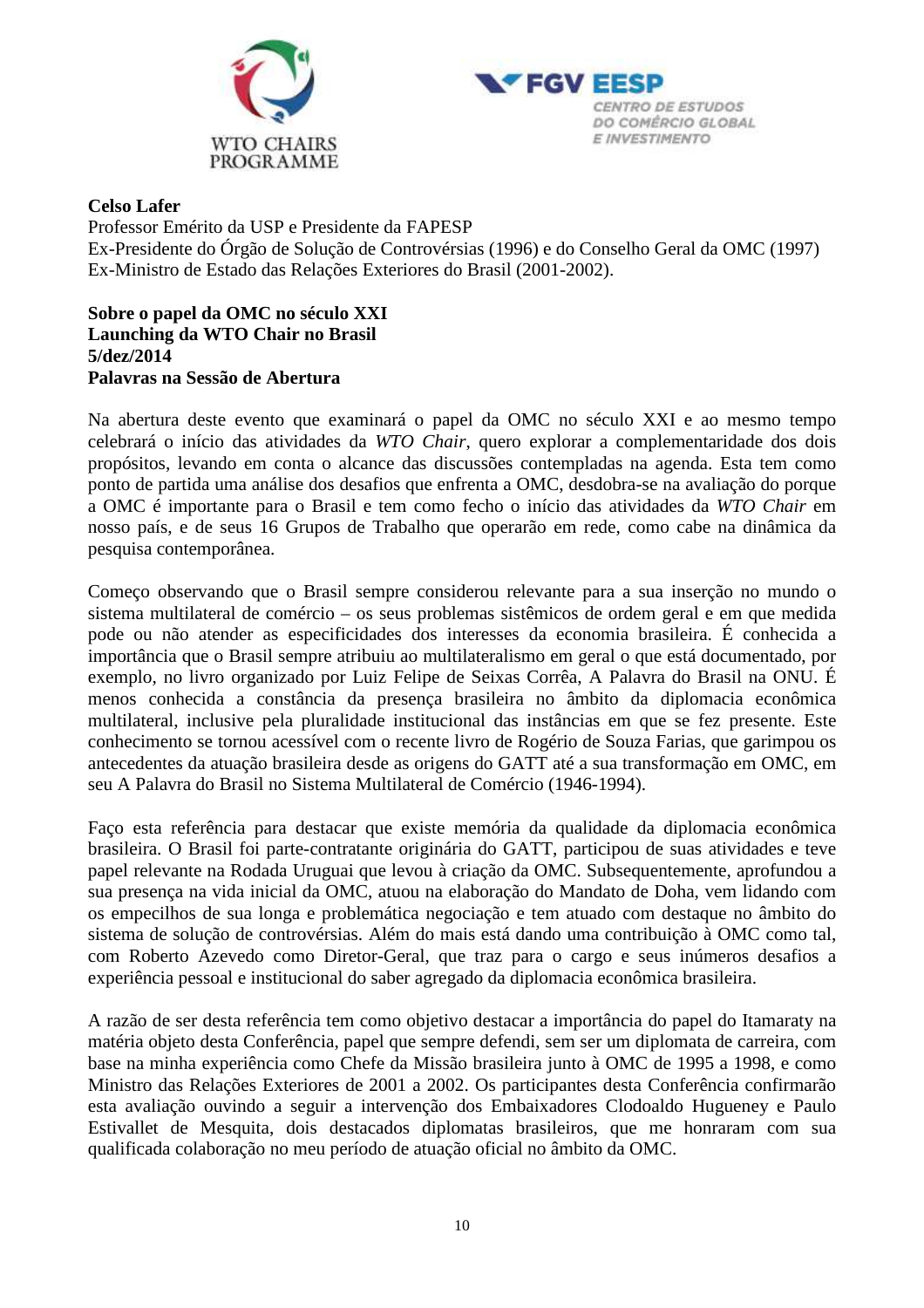



### **Celso Lafer**

Professor Emérito da USP e Presidente da FAPESP Ex-Presidente do Órgão de Solução de Controvérsias (1996) e do Conselho Geral da OMC (1997) Ex-Ministro de Estado das Relações Exteriores do Brasil (2001-2002).

### **Sobre o papel da OMC no século XXI Launching da WTO Chair no Brasil 5/dez/2014 Palavras na Sessão de Abertura**

Na abertura deste evento que examinará o papel da OMC no século XXI e ao mesmo tempo celebrará o início das atividades da *WTO Chair*, quero explorar a complementaridade dos dois propósitos, levando em conta o alcance das discussões contempladas na agenda. Esta tem como ponto de partida uma análise dos desafios que enfrenta a OMC, desdobra-se na avaliação do porque a OMC é importante para o Brasil e tem como fecho o início das atividades da *WTO Chair* em nosso país, e de seus 16 Grupos de Trabalho que operarão em rede, como cabe na dinâmica da pesquisa contemporânea.

Começo observando que o Brasil sempre considerou relevante para a sua inserção no mundo o sistema multilateral de comércio – os seus problemas sistêmicos de ordem geral e em que medida pode ou não atender as especificidades dos interesses da economia brasileira. É conhecida a importância que o Brasil sempre atribuiu ao multilateralismo em geral o que está documentado, por exemplo, no livro organizado por Luiz Felipe de Seixas Corrêa, A Palavra do Brasil na ONU. É menos conhecida a constância da presença brasileira no âmbito da diplomacia econômica multilateral, inclusive pela pluralidade institucional das instâncias em que se fez presente. Este conhecimento se tornou acessível com o recente livro de Rogério de Souza Farias, que garimpou os antecedentes da atuação brasileira desde as origens do GATT até a sua transformação em OMC, em seu A Palavra do Brasil no Sistema Multilateral de Comércio (1946-1994).

Faço esta referência para destacar que existe memória da qualidade da diplomacia econômica brasileira. O Brasil foi parte-contratante originária do GATT, participou de suas atividades e teve papel relevante na Rodada Uruguai que levou à criação da OMC. Subsequentemente, aprofundou a sua presença na vida inicial da OMC, atuou na elaboração do Mandato de Doha, vem lidando com os empecilhos de sua longa e problemática negociação e tem atuado com destaque no âmbito do sistema de solução de controvérsias. Além do mais está dando uma contribuição à OMC como tal, com Roberto Azevedo como Diretor-Geral, que traz para o cargo e seus inúmeros desafios a experiência pessoal e institucional do saber agregado da diplomacia econômica brasileira.

A razão de ser desta referência tem como objetivo destacar a importância do papel do Itamaraty na matéria objeto desta Conferência, papel que sempre defendi, sem ser um diplomata de carreira, com base na minha experiência como Chefe da Missão brasileira junto à OMC de 1995 a 1998, e como Ministro das Relações Exteriores de 2001 a 2002. Os participantes desta Conferência confirmarão esta avaliação ouvindo a seguir a intervenção dos Embaixadores Clodoaldo Hugueney e Paulo Estivallet de Mesquita, dois destacados diplomatas brasileiros, que me honraram com sua qualificada colaboração no meu período de atuação oficial no âmbito da OMC.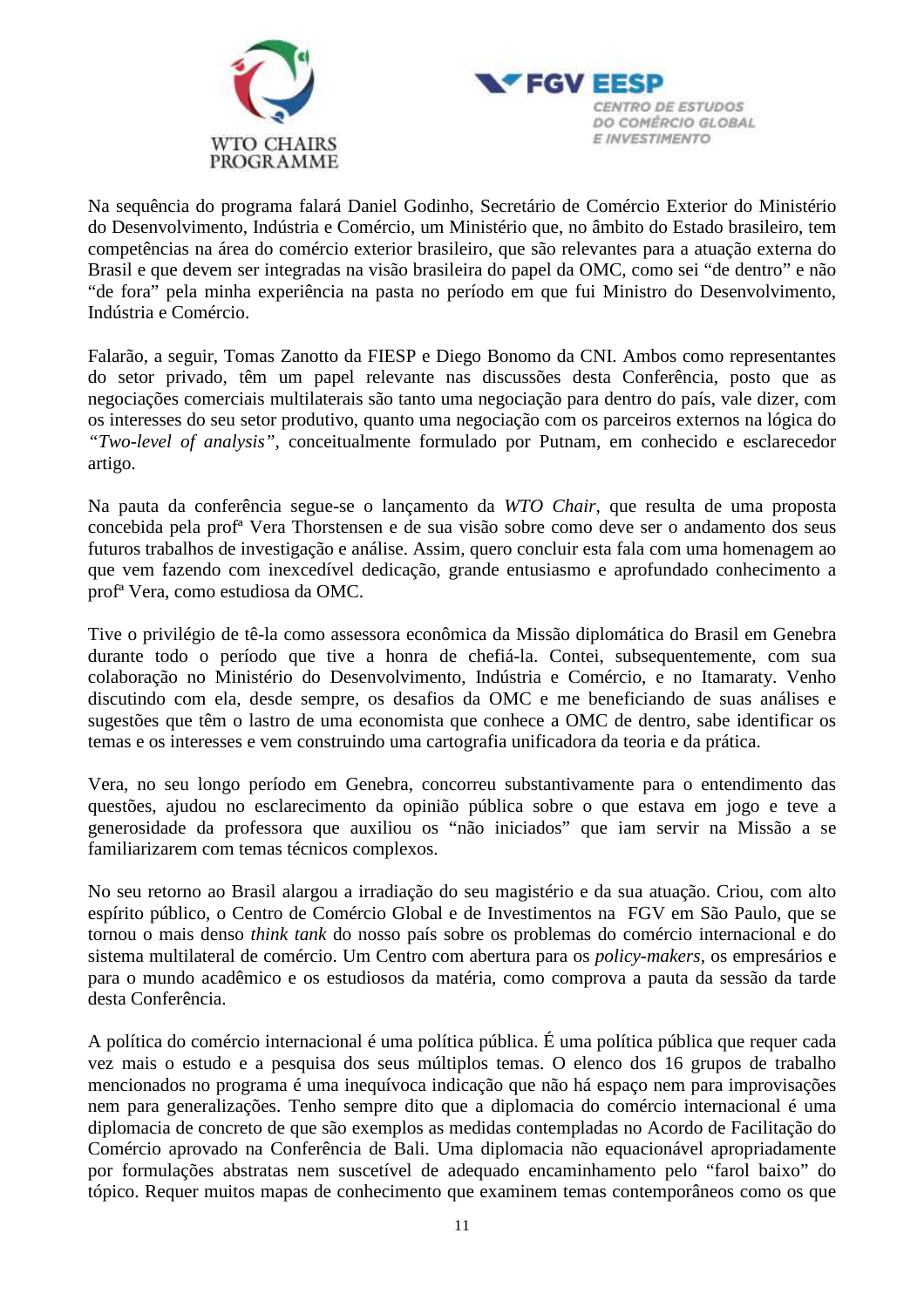



Na sequência do programa falará Daniel Godinho, Secretário de Comércio Exterior do Ministério do Desenvolvimento, Indústria e Comércio, um Ministério que, no âmbito do Estado brasileiro, tem competências na área do comércio exterior brasileiro, que são relevantes para a atuação externa do Brasil e que devem ser integradas na visão brasileira do papel da OMC, como sei "de dentro" e não "de fora" pela minha experiência na pasta no período em que fui Ministro do Desenvolvimento, Indústria e Comércio.

Falarão, a seguir, Tomas Zanotto da FIESP e Diego Bonomo da CNI. Ambos como representantes do setor privado, têm um papel relevante nas discussões desta Conferência, posto que as negociações comerciais multilaterais são tanto uma negociação para dentro do país, vale dizer, com os interesses do seu setor produtivo, quanto uma negociação com os parceiros externos na lógica do *"Two-level of analysis",* conceitualmente formulado por Putnam, em conhecido e esclarecedor artigo.

Na pauta da conferência segue-se o lançamento da *WTO Chair,* que resulta de uma proposta concebida pela profª Vera Thorstensen e de sua visão sobre como deve ser o andamento dos seus futuros trabalhos de investigação e análise. Assim, quero concluir esta fala com uma homenagem ao que vem fazendo com inexcedível dedicação, grande entusiasmo e aprofundado conhecimento a profª Vera, como estudiosa da OMC.

Tive o privilégio de tê-la como assessora econômica da Missão diplomática do Brasil em Genebra durante todo o período que tive a honra de chefiá-la. Contei, subsequentemente, com sua colaboração no Ministério do Desenvolvimento, Indústria e Comércio, e no Itamaraty. Venho discutindo com ela, desde sempre, os desafios da OMC e me beneficiando de suas análises e sugestões que têm o lastro de uma economista que conhece a OMC de dentro, sabe identificar os temas e os interesses e vem construindo uma cartografia unificadora da teoria e da prática.

Vera, no seu longo período em Genebra, concorreu substantivamente para o entendimento das questões, ajudou no esclarecimento da opinião pública sobre o que estava em jogo e teve a generosidade da professora que auxiliou os "não iniciados" que iam servir na Missão a se familiarizarem com temas técnicos complexos.

No seu retorno ao Brasil alargou a irradiação do seu magistério e da sua atuação. Criou, com alto espírito público, o Centro de Comércio Global e de Investimentos na FGV em São Paulo, que se tornou o mais denso *think tank* do nosso país sobre os problemas do comércio internacional e do sistema multilateral de comércio. Um Centro com abertura para os *policy-makers,* os empresários e para o mundo acadêmico e os estudiosos da matéria, como comprova a pauta da sessão da tarde desta Conferência.

A política do comércio internacional é uma política pública. É uma política pública que requer cada vez mais o estudo e a pesquisa dos seus múltiplos temas. O elenco dos 16 grupos de trabalho mencionados no programa é uma inequívoca indicação que não há espaço nem para improvisações nem para generalizações. Tenho sempre dito que a diplomacia do comércio internacional é uma diplomacia de concreto de que são exemplos as medidas contempladas no Acordo de Facilitação do Comércio aprovado na Conferência de Bali. Uma diplomacia não equacionável apropriadamente por formulações abstratas nem suscetível de adequado encaminhamento pelo "farol baixo" do tópico. Requer muitos mapas de conhecimento que examinem temas contemporâneos como os que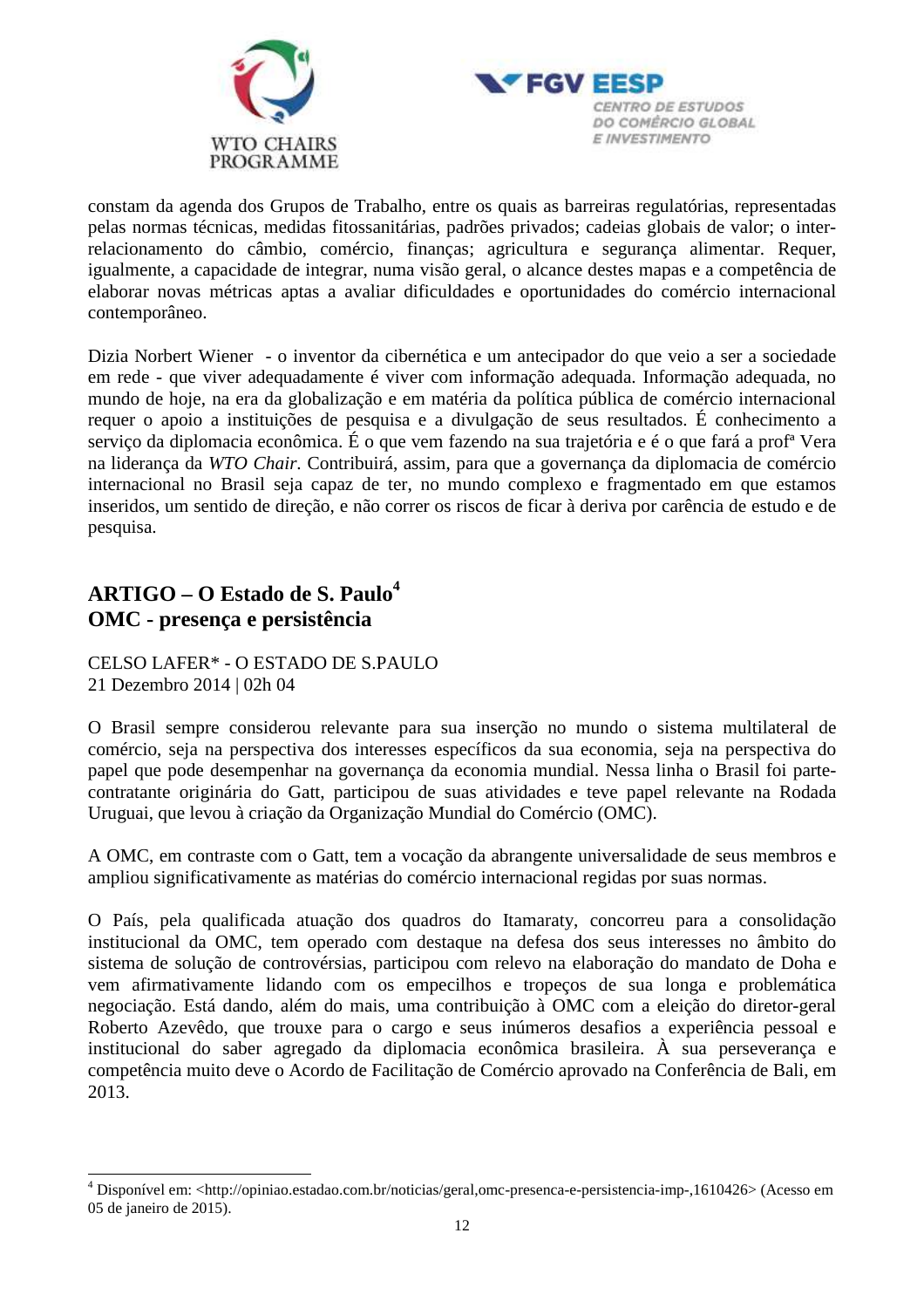



constam da agenda dos Grupos de Trabalho, entre os quais as barreiras regulatórias, representadas pelas normas técnicas, medidas fitossanitárias, padrões privados; cadeias globais de valor; o interrelacionamento do câmbio, comércio, finanças; agricultura e segurança alimentar. Requer, igualmente, a capacidade de integrar, numa visão geral, o alcance destes mapas e a competência de elaborar novas métricas aptas a avaliar dificuldades e oportunidades do comércio internacional contemporâneo.

Dizia Norbert Wiener - o inventor da cibernética e um antecipador do que veio a ser a sociedade em rede - que viver adequadamente é viver com informação adequada. Informação adequada, no mundo de hoje, na era da globalização e em matéria da política pública de comércio internacional requer o apoio a instituições de pesquisa e a divulgação de seus resultados. É conhecimento a serviço da diplomacia econômica. É o que vem fazendo na sua trajetória e é o que fará a profª Vera na liderança da *WTO Chair.* Contribuirá, assim, para que a governança da diplomacia de comércio internacional no Brasil seja capaz de ter, no mundo complexo e fragmentado em que estamos inseridos, um sentido de direção, e não correr os riscos de ficar à deriva por carência de estudo e de pesquisa.

# **ARTIGO – O Estado de S. Paulo<sup>4</sup> OMC - presença e persistência**

 $\overline{a}$ 

CELSO LAFER\* - O ESTADO DE S.PAULO 21 Dezembro 2014 | 02h 04

O Brasil sempre considerou relevante para sua inserção no mundo o sistema multilateral de comércio, seja na perspectiva dos interesses específicos da sua economia, seja na perspectiva do papel que pode desempenhar na governança da economia mundial. Nessa linha o Brasil foi partecontratante originária do Gatt, participou de suas atividades e teve papel relevante na Rodada Uruguai, que levou à criação da Organização Mundial do Comércio (OMC).

A OMC, em contraste com o Gatt, tem a vocação da abrangente universalidade de seus membros e ampliou significativamente as matérias do comércio internacional regidas por suas normas.

O País, pela qualificada atuação dos quadros do Itamaraty, concorreu para a consolidação institucional da OMC, tem operado com destaque na defesa dos seus interesses no âmbito do sistema de solução de controvérsias, participou com relevo na elaboração do mandato de Doha e vem afirmativamente lidando com os empecilhos e tropeços de sua longa e problemática negociação. Está dando, além do mais, uma contribuição à OMC com a eleição do diretor-geral Roberto Azevêdo, que trouxe para o cargo e seus inúmeros desafios a experiência pessoal e institucional do saber agregado da diplomacia econômica brasileira. À sua perseverança e competência muito deve o Acordo de Facilitação de Comércio aprovado na Conferência de Bali, em 2013.

<sup>&</sup>lt;sup>4</sup> Disponível em: <http://opiniao.estadao.com.br/noticias/geral,omc-presenca-e-persistencia-imp-,1610426> (Acesso em 05 de janeiro de 2015).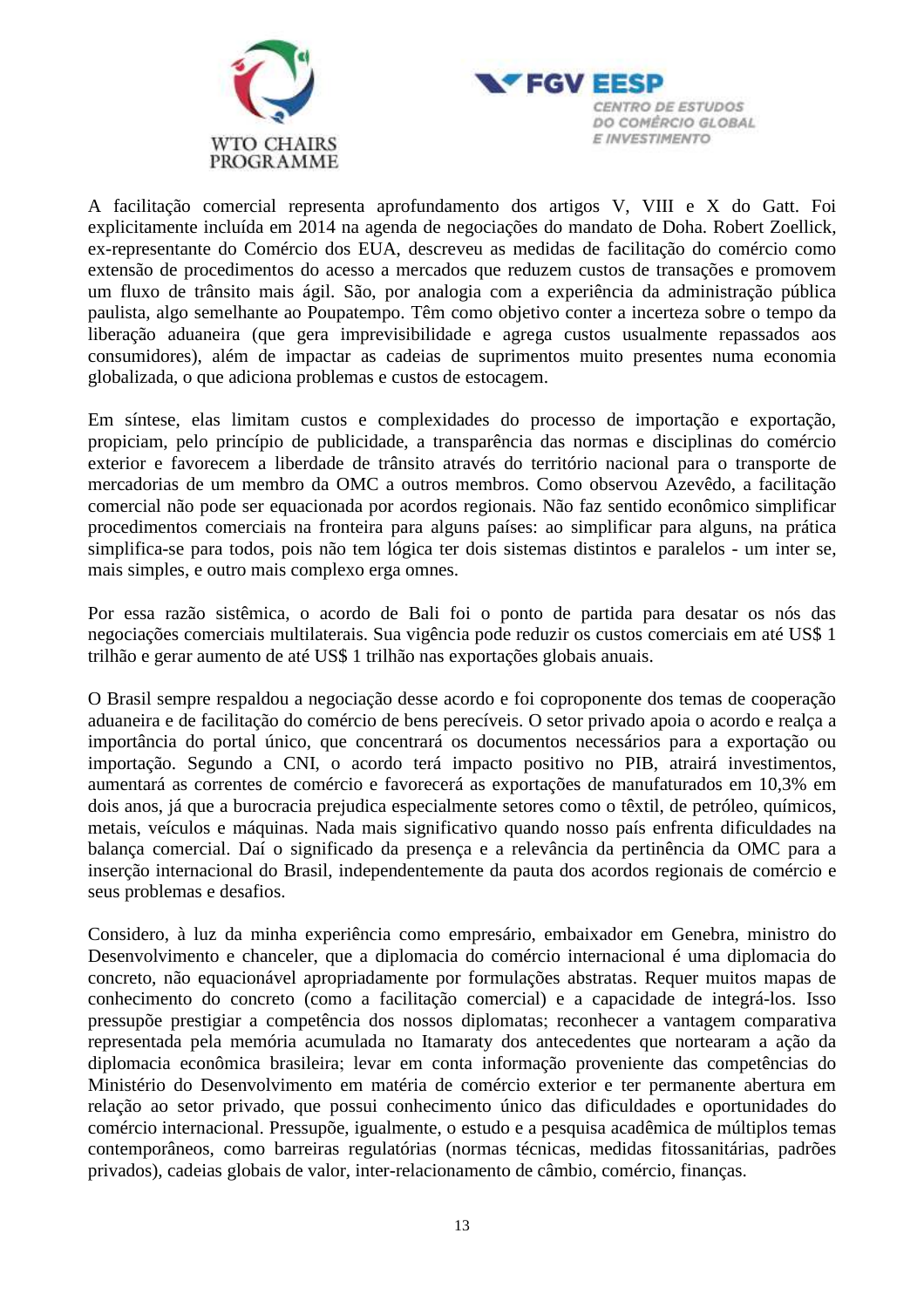



A facilitação comercial representa aprofundamento dos artigos V, VIII e X do Gatt. Foi explicitamente incluída em 2014 na agenda de negociações do mandato de Doha. Robert Zoellick, ex-representante do Comércio dos EUA, descreveu as medidas de facilitação do comércio como extensão de procedimentos do acesso a mercados que reduzem custos de transações e promovem um fluxo de trânsito mais ágil. São, por analogia com a experiência da administração pública paulista, algo semelhante ao Poupatempo. Têm como objetivo conter a incerteza sobre o tempo da liberação aduaneira (que gera imprevisibilidade e agrega custos usualmente repassados aos consumidores), além de impactar as cadeias de suprimentos muito presentes numa economia globalizada, o que adiciona problemas e custos de estocagem.

Em síntese, elas limitam custos e complexidades do processo de importação e exportação, propiciam, pelo princípio de publicidade, a transparência das normas e disciplinas do comércio exterior e favorecem a liberdade de trânsito através do território nacional para o transporte de mercadorias de um membro da OMC a outros membros. Como observou Azevêdo, a facilitação comercial não pode ser equacionada por acordos regionais. Não faz sentido econômico simplificar procedimentos comerciais na fronteira para alguns países: ao simplificar para alguns, na prática simplifica-se para todos, pois não tem lógica ter dois sistemas distintos e paralelos - um inter se, mais simples, e outro mais complexo erga omnes.

Por essa razão sistêmica, o acordo de Bali foi o ponto de partida para desatar os nós das negociações comerciais multilaterais. Sua vigência pode reduzir os custos comerciais em até US\$ 1 trilhão e gerar aumento de até US\$ 1 trilhão nas exportações globais anuais.

O Brasil sempre respaldou a negociação desse acordo e foi coproponente dos temas de cooperação aduaneira e de facilitação do comércio de bens perecíveis. O setor privado apoia o acordo e realça a importância do portal único, que concentrará os documentos necessários para a exportação ou importação. Segundo a CNI, o acordo terá impacto positivo no PIB, atrairá investimentos, aumentará as correntes de comércio e favorecerá as exportações de manufaturados em 10,3% em dois anos, já que a burocracia prejudica especialmente setores como o têxtil, de petróleo, químicos, metais, veículos e máquinas. Nada mais significativo quando nosso país enfrenta dificuldades na balança comercial. Daí o significado da presença e a relevância da pertinência da OMC para a inserção internacional do Brasil, independentemente da pauta dos acordos regionais de comércio e seus problemas e desafios.

Considero, à luz da minha experiência como empresário, embaixador em Genebra, ministro do Desenvolvimento e chanceler, que a diplomacia do comércio internacional é uma diplomacia do concreto, não equacionável apropriadamente por formulações abstratas. Requer muitos mapas de conhecimento do concreto (como a facilitação comercial) e a capacidade de integrá-los. Isso pressupõe prestigiar a competência dos nossos diplomatas; reconhecer a vantagem comparativa representada pela memória acumulada no Itamaraty dos antecedentes que nortearam a ação da diplomacia econômica brasileira; levar em conta informação proveniente das competências do Ministério do Desenvolvimento em matéria de comércio exterior e ter permanente abertura em relação ao setor privado, que possui conhecimento único das dificuldades e oportunidades do comércio internacional. Pressupõe, igualmente, o estudo e a pesquisa acadêmica de múltiplos temas contemporâneos, como barreiras regulatórias (normas técnicas, medidas fitossanitárias, padrões privados), cadeias globais de valor, inter-relacionamento de câmbio, comércio, finanças.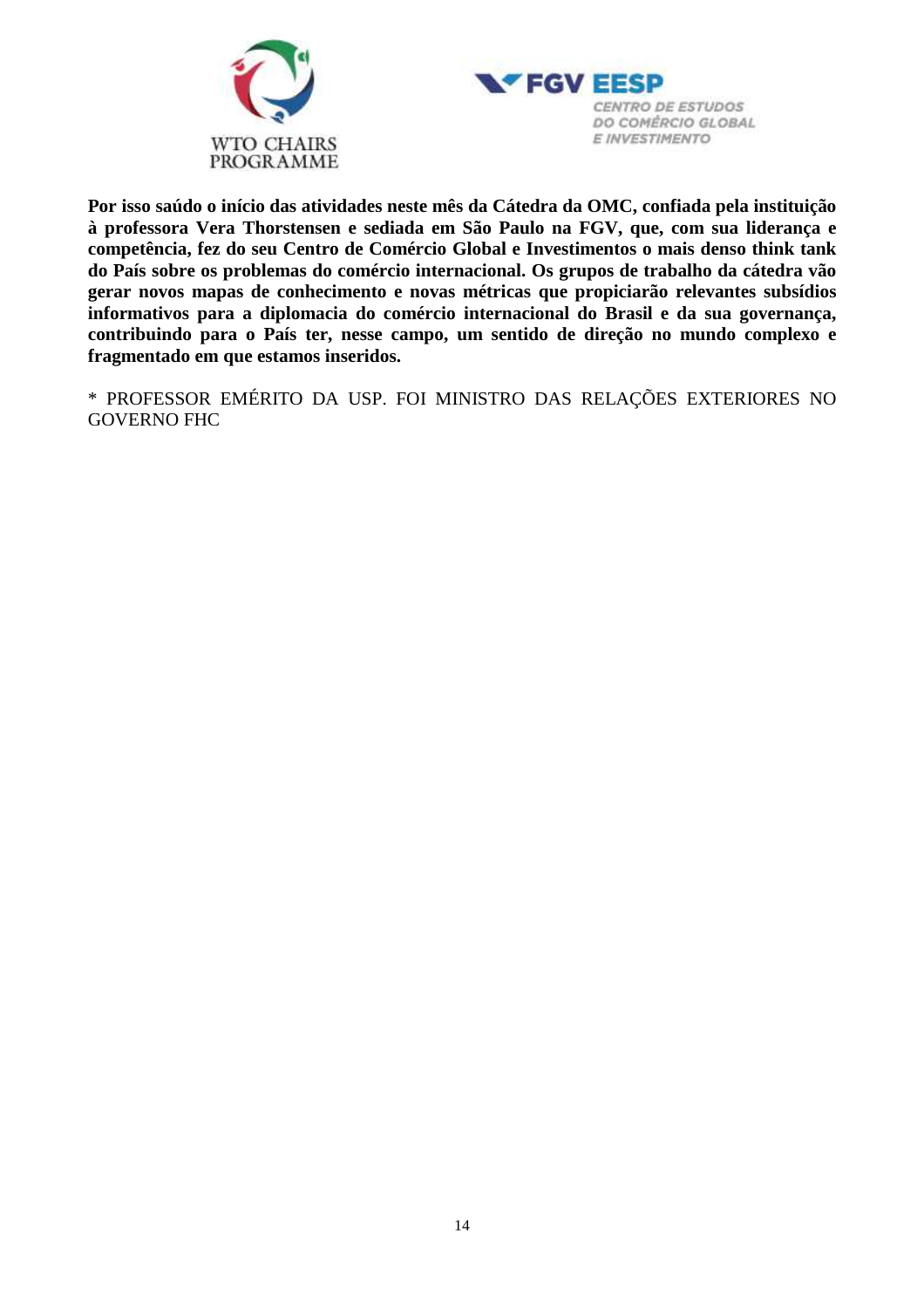



**Por isso saúdo o início das atividades neste mês da Cátedra da OMC, confiada pela instituição à professora Vera Thorstensen e sediada em São Paulo na FGV, que, com sua liderança e competência, fez do seu Centro de Comércio Global e Investimentos o mais denso think tank do País sobre os problemas do comércio internacional. Os grupos de trabalho da cátedra vão gerar novos mapas de conhecimento e novas métricas que propiciarão relevantes subsídios informativos para a diplomacia do comércio internacional do Brasil e da sua governança, contribuindo para o País ter, nesse campo, um sentido de direção no mundo complexo e fragmentado em que estamos inseridos.** 

\* PROFESSOR EMÉRITO DA USP. FOI MINISTRO DAS RELAÇÕES EXTERIORES NO GOVERNO FHC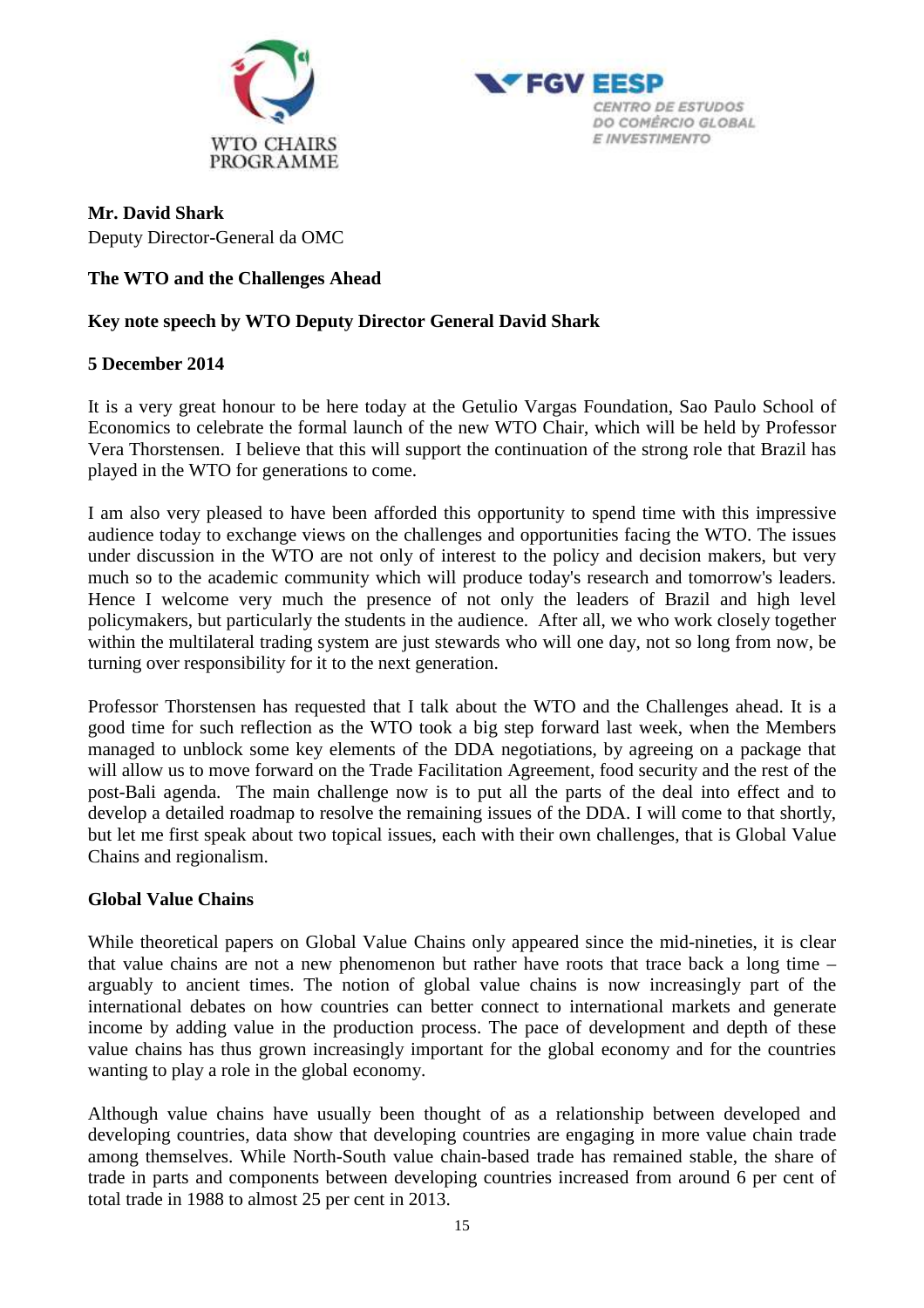



### **Mr. David Shark**  Deputy Director-General da OMC

# **The WTO and the Challenges Ahead**

## **Key note speech by WTO Deputy Director General David Shark**

### **5 December 2014**

It is a very great honour to be here today at the Getulio Vargas Foundation, Sao Paulo School of Economics to celebrate the formal launch of the new WTO Chair, which will be held by Professor Vera Thorstensen. I believe that this will support the continuation of the strong role that Brazil has played in the WTO for generations to come.

I am also very pleased to have been afforded this opportunity to spend time with this impressive audience today to exchange views on the challenges and opportunities facing the WTO. The issues under discussion in the WTO are not only of interest to the policy and decision makers, but very much so to the academic community which will produce today's research and tomorrow's leaders. Hence I welcome very much the presence of not only the leaders of Brazil and high level policymakers, but particularly the students in the audience. After all, we who work closely together within the multilateral trading system are just stewards who will one day, not so long from now, be turning over responsibility for it to the next generation.

Professor Thorstensen has requested that I talk about the WTO and the Challenges ahead. It is a good time for such reflection as the WTO took a big step forward last week, when the Members managed to unblock some key elements of the DDA negotiations, by agreeing on a package that will allow us to move forward on the Trade Facilitation Agreement, food security and the rest of the post-Bali agenda. The main challenge now is to put all the parts of the deal into effect and to develop a detailed roadmap to resolve the remaining issues of the DDA. I will come to that shortly, but let me first speak about two topical issues, each with their own challenges, that is Global Value Chains and regionalism.

### **Global Value Chains**

While theoretical papers on Global Value Chains only appeared since the mid-nineties, it is clear that value chains are not a new phenomenon but rather have roots that trace back a long time – arguably to ancient times. The notion of global value chains is now increasingly part of the international debates on how countries can better connect to international markets and generate income by adding value in the production process. The pace of development and depth of these value chains has thus grown increasingly important for the global economy and for the countries wanting to play a role in the global economy.

Although value chains have usually been thought of as a relationship between developed and developing countries, data show that developing countries are engaging in more value chain trade among themselves. While North-South value chain-based trade has remained stable, the share of trade in parts and components between developing countries increased from around 6 per cent of total trade in 1988 to almost 25 per cent in 2013.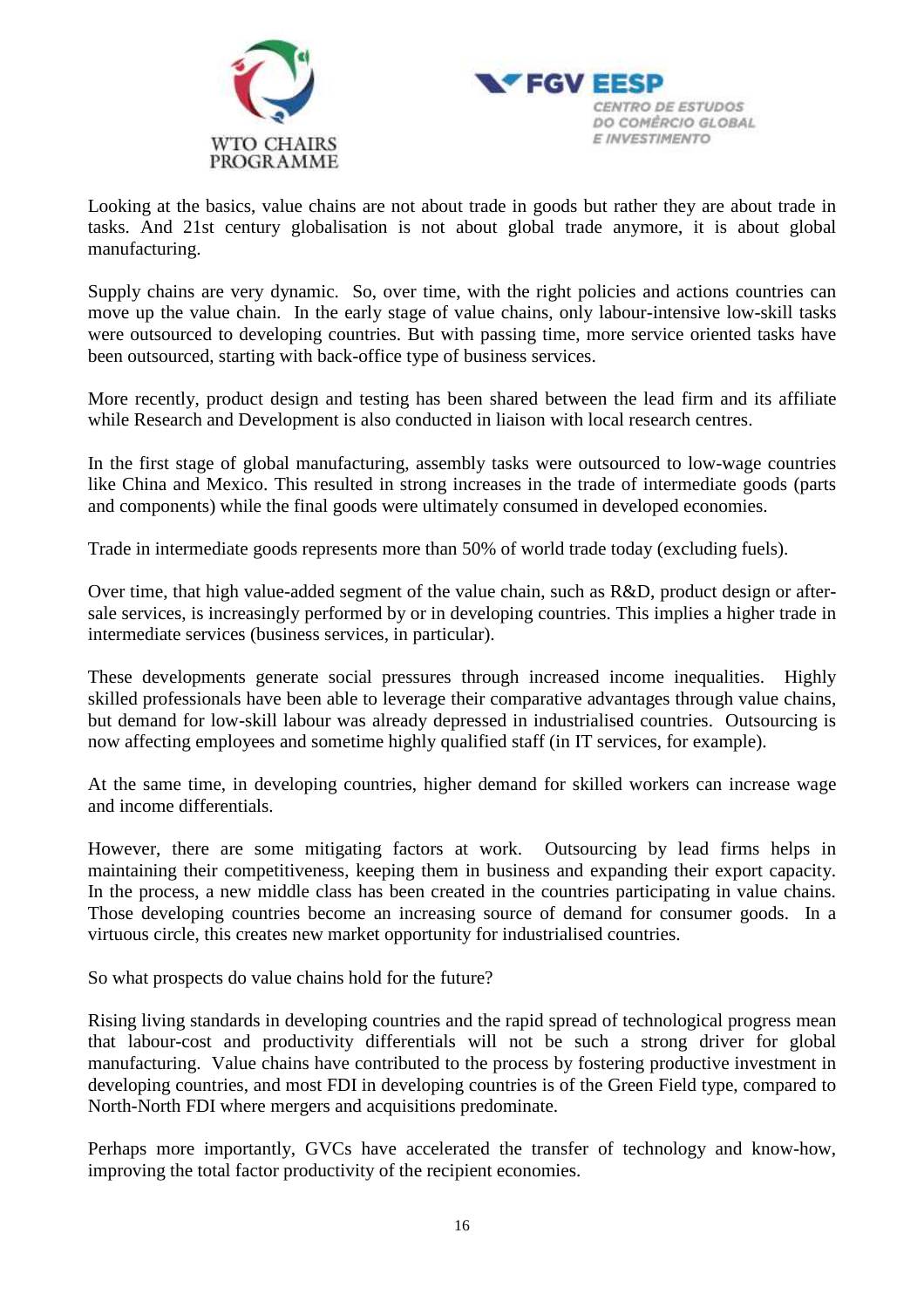



Looking at the basics, value chains are not about trade in goods but rather they are about trade in tasks. And 21st century globalisation is not about global trade anymore, it is about global manufacturing.

Supply chains are very dynamic. So, over time, with the right policies and actions countries can move up the value chain. In the early stage of value chains, only labour-intensive low-skill tasks were outsourced to developing countries. But with passing time, more service oriented tasks have been outsourced, starting with back-office type of business services.

More recently, product design and testing has been shared between the lead firm and its affiliate while Research and Development is also conducted in liaison with local research centres.

In the first stage of global manufacturing, assembly tasks were outsourced to low-wage countries like China and Mexico. This resulted in strong increases in the trade of intermediate goods (parts and components) while the final goods were ultimately consumed in developed economies.

Trade in intermediate goods represents more than 50% of world trade today (excluding fuels).

Over time, that high value-added segment of the value chain, such as R&D, product design or aftersale services, is increasingly performed by or in developing countries. This implies a higher trade in intermediate services (business services, in particular).

These developments generate social pressures through increased income inequalities. Highly skilled professionals have been able to leverage their comparative advantages through value chains, but demand for low-skill labour was already depressed in industrialised countries. Outsourcing is now affecting employees and sometime highly qualified staff (in IT services, for example).

At the same time, in developing countries, higher demand for skilled workers can increase wage and income differentials.

However, there are some mitigating factors at work. Outsourcing by lead firms helps in maintaining their competitiveness, keeping them in business and expanding their export capacity. In the process, a new middle class has been created in the countries participating in value chains. Those developing countries become an increasing source of demand for consumer goods. In a virtuous circle, this creates new market opportunity for industrialised countries.

So what prospects do value chains hold for the future?

Rising living standards in developing countries and the rapid spread of technological progress mean that labour-cost and productivity differentials will not be such a strong driver for global manufacturing. Value chains have contributed to the process by fostering productive investment in developing countries, and most FDI in developing countries is of the Green Field type, compared to North-North FDI where mergers and acquisitions predominate.

Perhaps more importantly, GVCs have accelerated the transfer of technology and know-how, improving the total factor productivity of the recipient economies.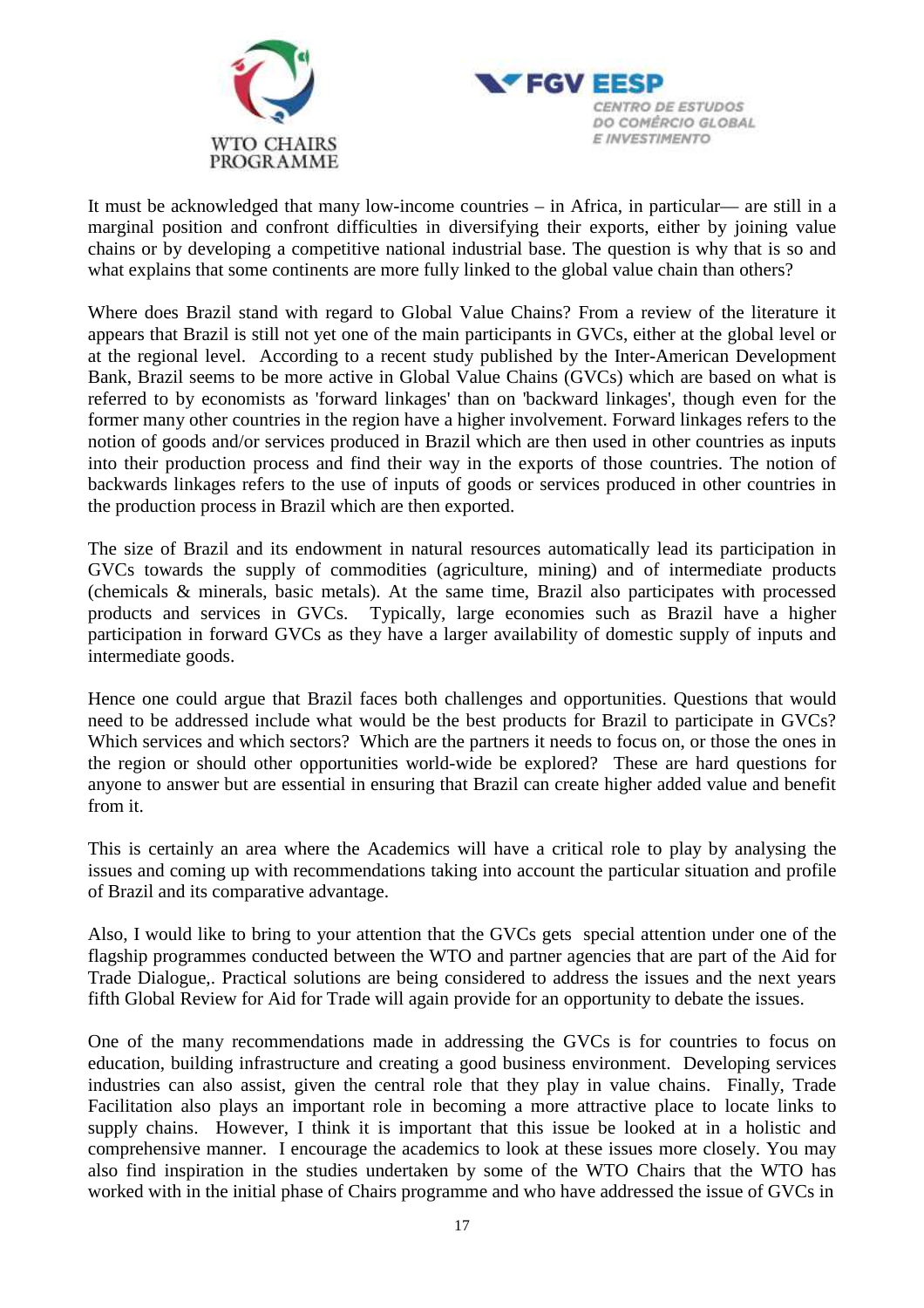



It must be acknowledged that many low-income countries – in Africa, in particular— are still in a marginal position and confront difficulties in diversifying their exports, either by joining value chains or by developing a competitive national industrial base. The question is why that is so and what explains that some continents are more fully linked to the global value chain than others?

Where does Brazil stand with regard to Global Value Chains? From a review of the literature it appears that Brazil is still not yet one of the main participants in GVCs, either at the global level or at the regional level. According to a recent study published by the Inter-American Development Bank, Brazil seems to be more active in Global Value Chains (GVCs) which are based on what is referred to by economists as 'forward linkages' than on 'backward linkages', though even for the former many other countries in the region have a higher involvement. Forward linkages refers to the notion of goods and/or services produced in Brazil which are then used in other countries as inputs into their production process and find their way in the exports of those countries. The notion of backwards linkages refers to the use of inputs of goods or services produced in other countries in the production process in Brazil which are then exported.

The size of Brazil and its endowment in natural resources automatically lead its participation in GVCs towards the supply of commodities (agriculture, mining) and of intermediate products (chemicals & minerals, basic metals). At the same time, Brazil also participates with processed products and services in GVCs. Typically, large economies such as Brazil have a higher participation in forward GVCs as they have a larger availability of domestic supply of inputs and intermediate goods.

Hence one could argue that Brazil faces both challenges and opportunities. Questions that would need to be addressed include what would be the best products for Brazil to participate in GVCs? Which services and which sectors? Which are the partners it needs to focus on, or those the ones in the region or should other opportunities world-wide be explored? These are hard questions for anyone to answer but are essential in ensuring that Brazil can create higher added value and benefit from it.

This is certainly an area where the Academics will have a critical role to play by analysing the issues and coming up with recommendations taking into account the particular situation and profile of Brazil and its comparative advantage.

Also, I would like to bring to your attention that the GVCs gets special attention under one of the flagship programmes conducted between the WTO and partner agencies that are part of the Aid for Trade Dialogue,. Practical solutions are being considered to address the issues and the next years fifth Global Review for Aid for Trade will again provide for an opportunity to debate the issues.

One of the many recommendations made in addressing the GVCs is for countries to focus on education, building infrastructure and creating a good business environment. Developing services industries can also assist, given the central role that they play in value chains. Finally, Trade Facilitation also plays an important role in becoming a more attractive place to locate links to supply chains. However, I think it is important that this issue be looked at in a holistic and comprehensive manner. I encourage the academics to look at these issues more closely. You may also find inspiration in the studies undertaken by some of the WTO Chairs that the WTO has worked with in the initial phase of Chairs programme and who have addressed the issue of GVCs in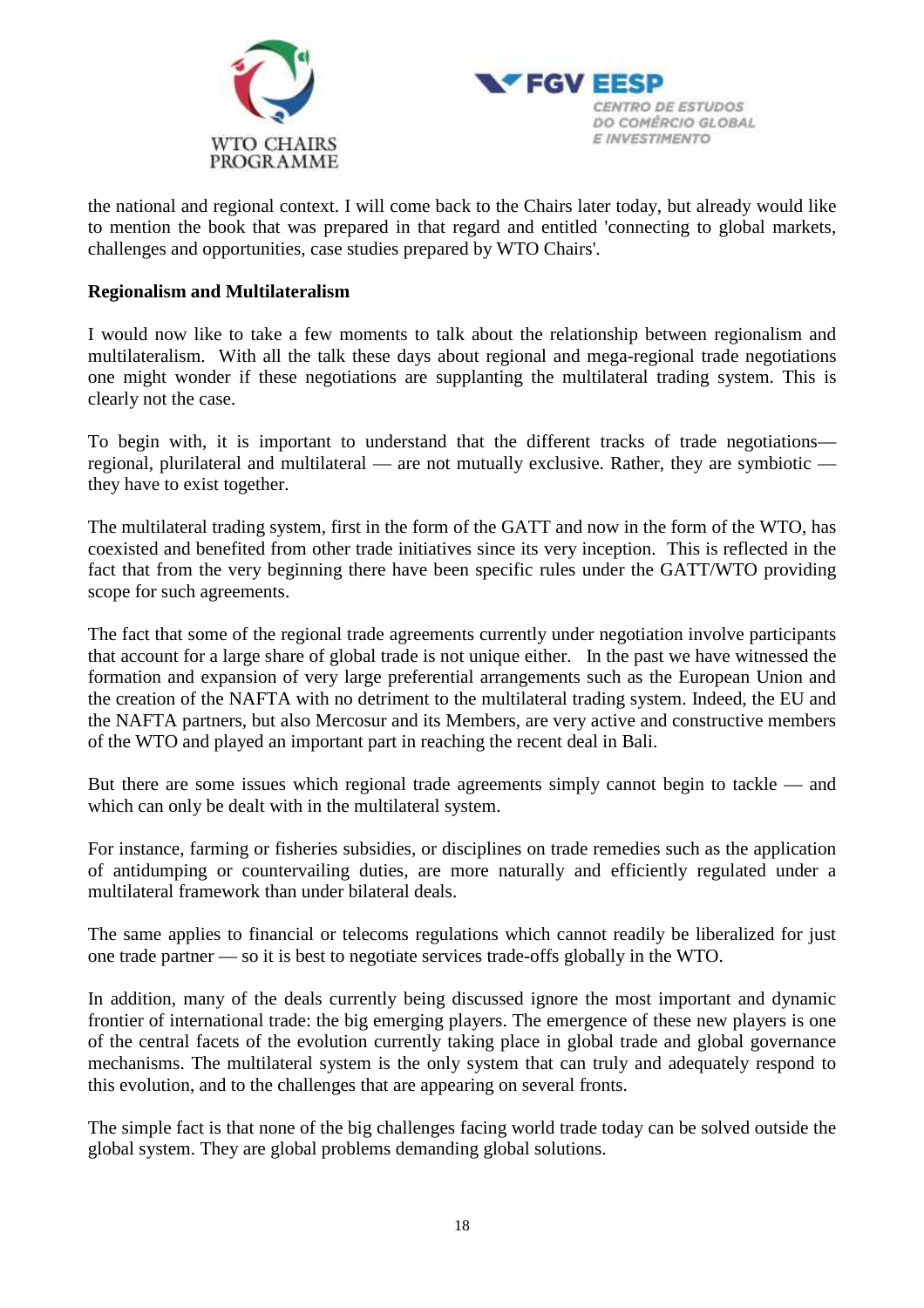



the national and regional context. I will come back to the Chairs later today, but already would like to mention the book that was prepared in that regard and entitled 'connecting to global markets, challenges and opportunities, case studies prepared by WTO Chairs'.

### **Regionalism and Multilateralism**

I would now like to take a few moments to talk about the relationship between regionalism and multilateralism. With all the talk these days about regional and mega-regional trade negotiations one might wonder if these negotiations are supplanting the multilateral trading system. This is clearly not the case.

To begin with, it is important to understand that the different tracks of trade negotiations regional, plurilateral and multilateral — are not mutually exclusive. Rather, they are symbiotic they have to exist together.

The multilateral trading system, first in the form of the GATT and now in the form of the WTO, has coexisted and benefited from other trade initiatives since its very inception. This is reflected in the fact that from the very beginning there have been specific rules under the GATT/WTO providing scope for such agreements.

The fact that some of the regional trade agreements currently under negotiation involve participants that account for a large share of global trade is not unique either. In the past we have witnessed the formation and expansion of very large preferential arrangements such as the European Union and the creation of the NAFTA with no detriment to the multilateral trading system. Indeed, the EU and the NAFTA partners, but also Mercosur and its Members, are very active and constructive members of the WTO and played an important part in reaching the recent deal in Bali.

But there are some issues which regional trade agreements simply cannot begin to tackle — and which can only be dealt with in the multilateral system.

For instance, farming or fisheries subsidies, or disciplines on trade remedies such as the application of antidumping or countervailing duties, are more naturally and efficiently regulated under a multilateral framework than under bilateral deals.

The same applies to financial or telecoms regulations which cannot readily be liberalized for just one trade partner — so it is best to negotiate services trade-offs globally in the WTO.

In addition, many of the deals currently being discussed ignore the most important and dynamic frontier of international trade: the big emerging players. The emergence of these new players is one of the central facets of the evolution currently taking place in global trade and global governance mechanisms. The multilateral system is the only system that can truly and adequately respond to this evolution, and to the challenges that are appearing on several fronts.

The simple fact is that none of the big challenges facing world trade today can be solved outside the global system. They are global problems demanding global solutions.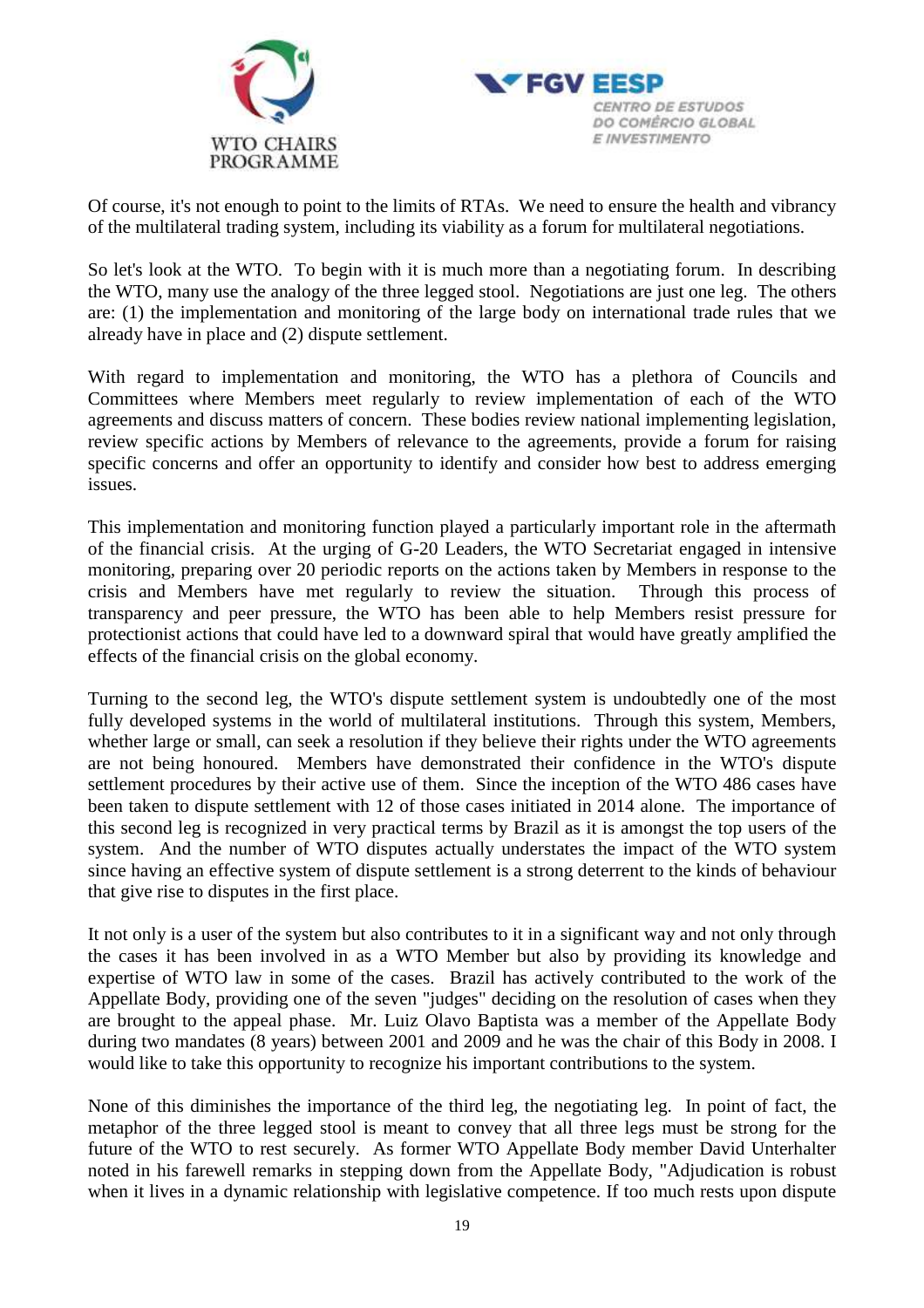



Of course, it's not enough to point to the limits of RTAs. We need to ensure the health and vibrancy of the multilateral trading system, including its viability as a forum for multilateral negotiations.

So let's look at the WTO. To begin with it is much more than a negotiating forum. In describing the WTO, many use the analogy of the three legged stool. Negotiations are just one leg. The others are: (1) the implementation and monitoring of the large body on international trade rules that we already have in place and (2) dispute settlement.

With regard to implementation and monitoring, the WTO has a plethora of Councils and Committees where Members meet regularly to review implementation of each of the WTO agreements and discuss matters of concern. These bodies review national implementing legislation, review specific actions by Members of relevance to the agreements, provide a forum for raising specific concerns and offer an opportunity to identify and consider how best to address emerging issues.

This implementation and monitoring function played a particularly important role in the aftermath of the financial crisis. At the urging of G-20 Leaders, the WTO Secretariat engaged in intensive monitoring, preparing over 20 periodic reports on the actions taken by Members in response to the crisis and Members have met regularly to review the situation. Through this process of transparency and peer pressure, the WTO has been able to help Members resist pressure for protectionist actions that could have led to a downward spiral that would have greatly amplified the effects of the financial crisis on the global economy.

Turning to the second leg, the WTO's dispute settlement system is undoubtedly one of the most fully developed systems in the world of multilateral institutions. Through this system, Members, whether large or small, can seek a resolution if they believe their rights under the WTO agreements are not being honoured. Members have demonstrated their confidence in the WTO's dispute settlement procedures by their active use of them. Since the inception of the WTO 486 cases have been taken to dispute settlement with 12 of those cases initiated in 2014 alone. The importance of this second leg is recognized in very practical terms by Brazil as it is amongst the top users of the system. And the number of WTO disputes actually understates the impact of the WTO system since having an effective system of dispute settlement is a strong deterrent to the kinds of behaviour that give rise to disputes in the first place.

It not only is a user of the system but also contributes to it in a significant way and not only through the cases it has been involved in as a WTO Member but also by providing its knowledge and expertise of WTO law in some of the cases. Brazil has actively contributed to the work of the Appellate Body, providing one of the seven "judges" deciding on the resolution of cases when they are brought to the appeal phase. Mr. Luiz Olavo Baptista was a member of the Appellate Body during two mandates (8 years) between 2001 and 2009 and he was the chair of this Body in 2008. I would like to take this opportunity to recognize his important contributions to the system.

None of this diminishes the importance of the third leg, the negotiating leg. In point of fact, the metaphor of the three legged stool is meant to convey that all three legs must be strong for the future of the WTO to rest securely. As former WTO Appellate Body member David Unterhalter noted in his farewell remarks in stepping down from the Appellate Body, "Adjudication is robust when it lives in a dynamic relationship with legislative competence. If too much rests upon dispute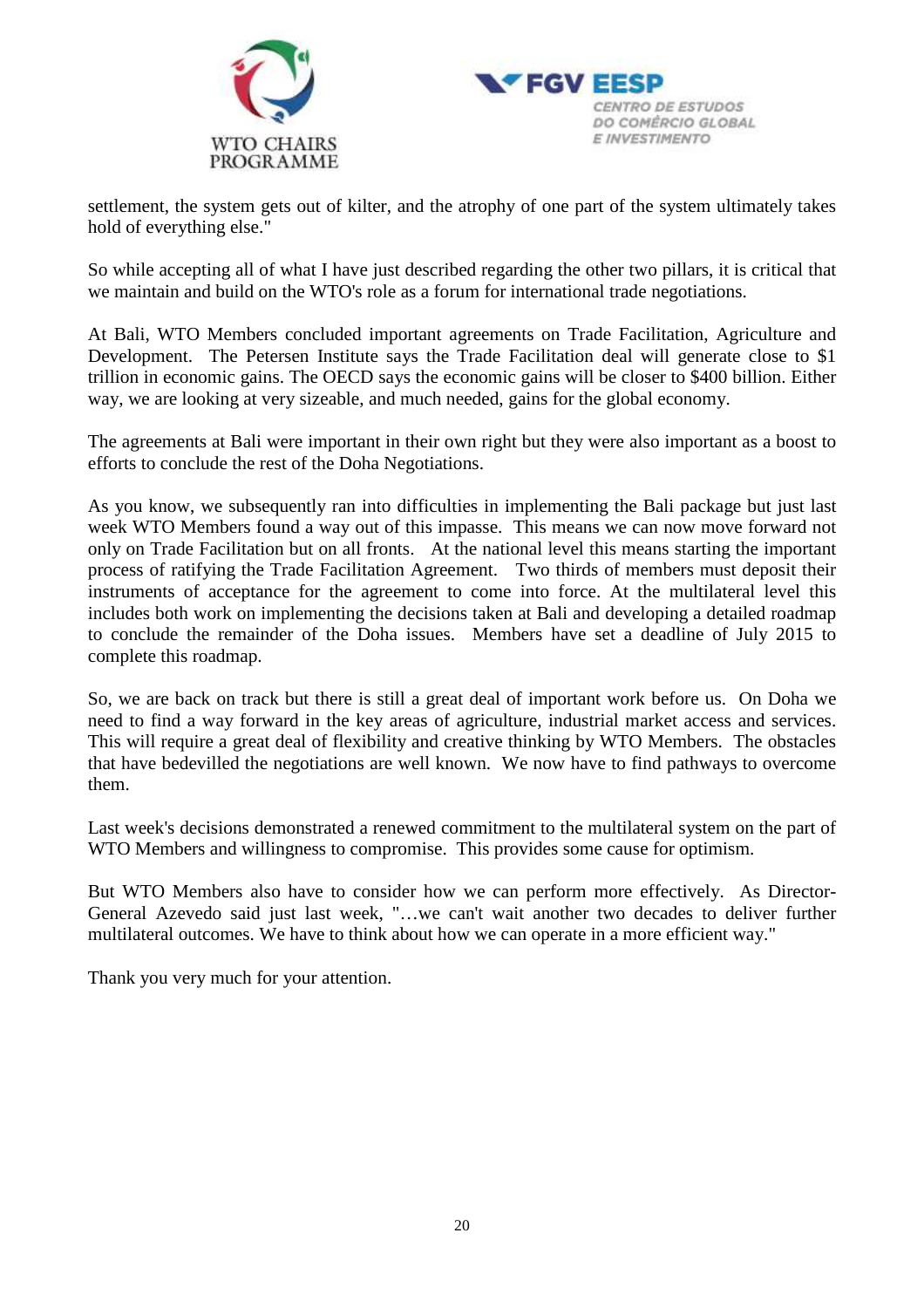



settlement, the system gets out of kilter, and the atrophy of one part of the system ultimately takes hold of everything else."

So while accepting all of what I have just described regarding the other two pillars, it is critical that we maintain and build on the WTO's role as a forum for international trade negotiations.

At Bali, WTO Members concluded important agreements on Trade Facilitation, Agriculture and Development. The Petersen Institute says the Trade Facilitation deal will generate close to \$1 trillion in economic gains. The OECD says the economic gains will be closer to \$400 billion. Either way, we are looking at very sizeable, and much needed, gains for the global economy.

The agreements at Bali were important in their own right but they were also important as a boost to efforts to conclude the rest of the Doha Negotiations.

As you know, we subsequently ran into difficulties in implementing the Bali package but just last week WTO Members found a way out of this impasse. This means we can now move forward not only on Trade Facilitation but on all fronts. At the national level this means starting the important process of ratifying the Trade Facilitation Agreement. Two thirds of members must deposit their instruments of acceptance for the agreement to come into force. At the multilateral level this includes both work on implementing the decisions taken at Bali and developing a detailed roadmap to conclude the remainder of the Doha issues. Members have set a deadline of July 2015 to complete this roadmap.

So, we are back on track but there is still a great deal of important work before us. On Doha we need to find a way forward in the key areas of agriculture, industrial market access and services. This will require a great deal of flexibility and creative thinking by WTO Members. The obstacles that have bedevilled the negotiations are well known. We now have to find pathways to overcome them.

Last week's decisions demonstrated a renewed commitment to the multilateral system on the part of WTO Members and willingness to compromise. This provides some cause for optimism.

But WTO Members also have to consider how we can perform more effectively. As Director-General Azevedo said just last week, "…we can't wait another two decades to deliver further multilateral outcomes. We have to think about how we can operate in a more efficient way."

Thank you very much for your attention.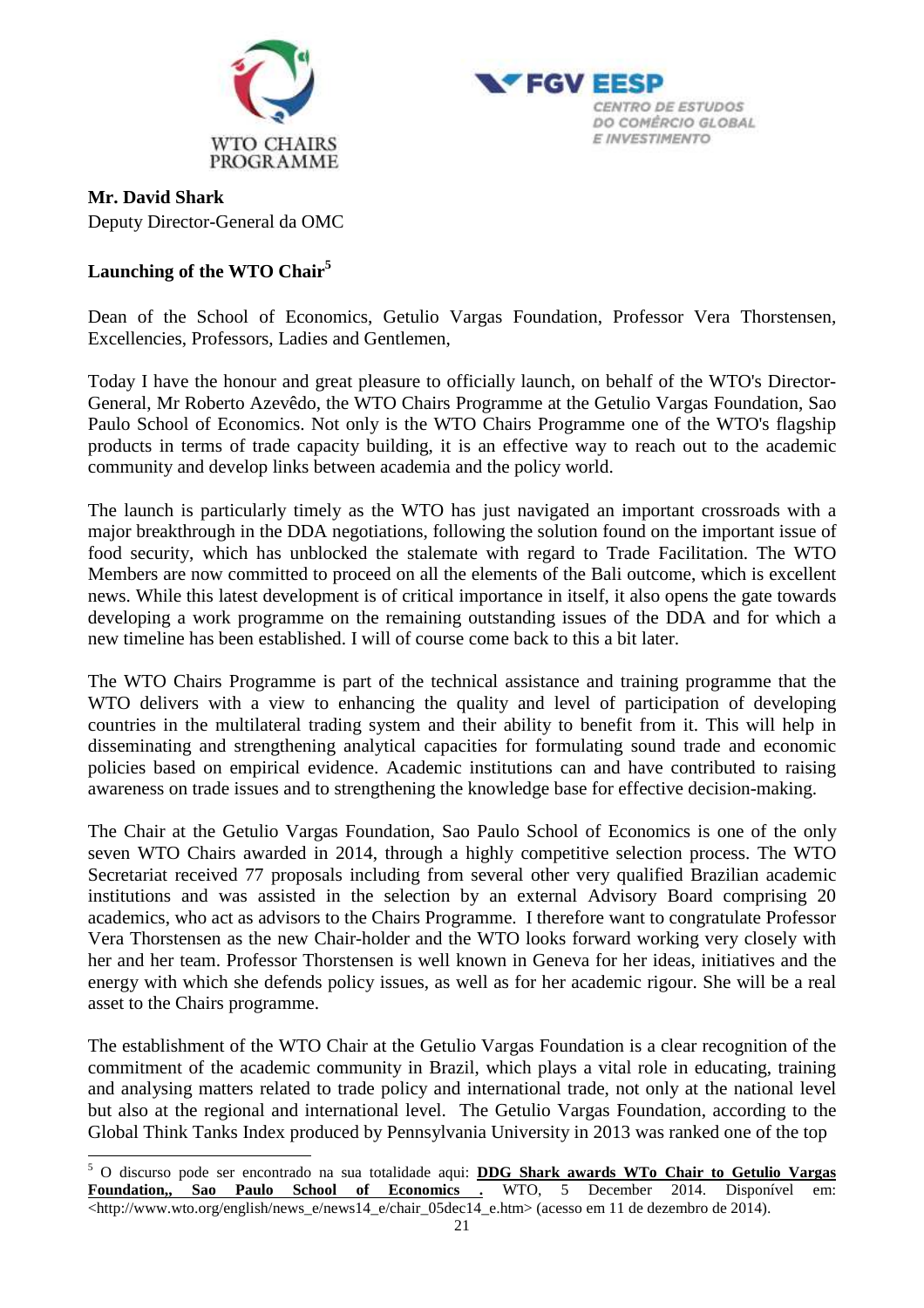



### **Mr. David Shark**

Deputy Director-General da OMC

# **Launching of the WTO Chair<sup>5</sup>**

Dean of the School of Economics, Getulio Vargas Foundation, Professor Vera Thorstensen, Excellencies, Professors, Ladies and Gentlemen,

Today I have the honour and great pleasure to officially launch, on behalf of the WTO's Director-General, Mr Roberto Azevêdo, the WTO Chairs Programme at the Getulio Vargas Foundation, Sao Paulo School of Economics. Not only is the WTO Chairs Programme one of the WTO's flagship products in terms of trade capacity building, it is an effective way to reach out to the academic community and develop links between academia and the policy world.

The launch is particularly timely as the WTO has just navigated an important crossroads with a major breakthrough in the DDA negotiations, following the solution found on the important issue of food security, which has unblocked the stalemate with regard to Trade Facilitation. The WTO Members are now committed to proceed on all the elements of the Bali outcome, which is excellent news. While this latest development is of critical importance in itself, it also opens the gate towards developing a work programme on the remaining outstanding issues of the DDA and for which a new timeline has been established. I will of course come back to this a bit later.

The WTO Chairs Programme is part of the technical assistance and training programme that the WTO delivers with a view to enhancing the quality and level of participation of developing countries in the multilateral trading system and their ability to benefit from it. This will help in disseminating and strengthening analytical capacities for formulating sound trade and economic policies based on empirical evidence. Academic institutions can and have contributed to raising awareness on trade issues and to strengthening the knowledge base for effective decision-making.

The Chair at the Getulio Vargas Foundation, Sao Paulo School of Economics is one of the only seven WTO Chairs awarded in 2014, through a highly competitive selection process. The WTO Secretariat received 77 proposals including from several other very qualified Brazilian academic institutions and was assisted in the selection by an external Advisory Board comprising 20 academics, who act as advisors to the Chairs Programme. I therefore want to congratulate Professor Vera Thorstensen as the new Chair-holder and the WTO looks forward working very closely with her and her team. Professor Thorstensen is well known in Geneva for her ideas, initiatives and the energy with which she defends policy issues, as well as for her academic rigour. She will be a real asset to the Chairs programme.

The establishment of the WTO Chair at the Getulio Vargas Foundation is a clear recognition of the commitment of the academic community in Brazil, which plays a vital role in educating, training and analysing matters related to trade policy and international trade, not only at the national level but also at the regional and international level. The Getulio Vargas Foundation, according to the Global Think Tanks Index produced by Pennsylvania University in 2013 was ranked one of the top

 5 O discurso pode ser encontrado na sua totalidade aqui: **DDG Shark awards WTo Chair to Getulio Vargas Foundation,, Sao Paulo School of Economics .** WTO, 5 December 2014. Disponível em: <http://www.wto.org/english/news\_e/news14\_e/chair\_05dec14\_e.htm> (acesso em 11 de dezembro de 2014).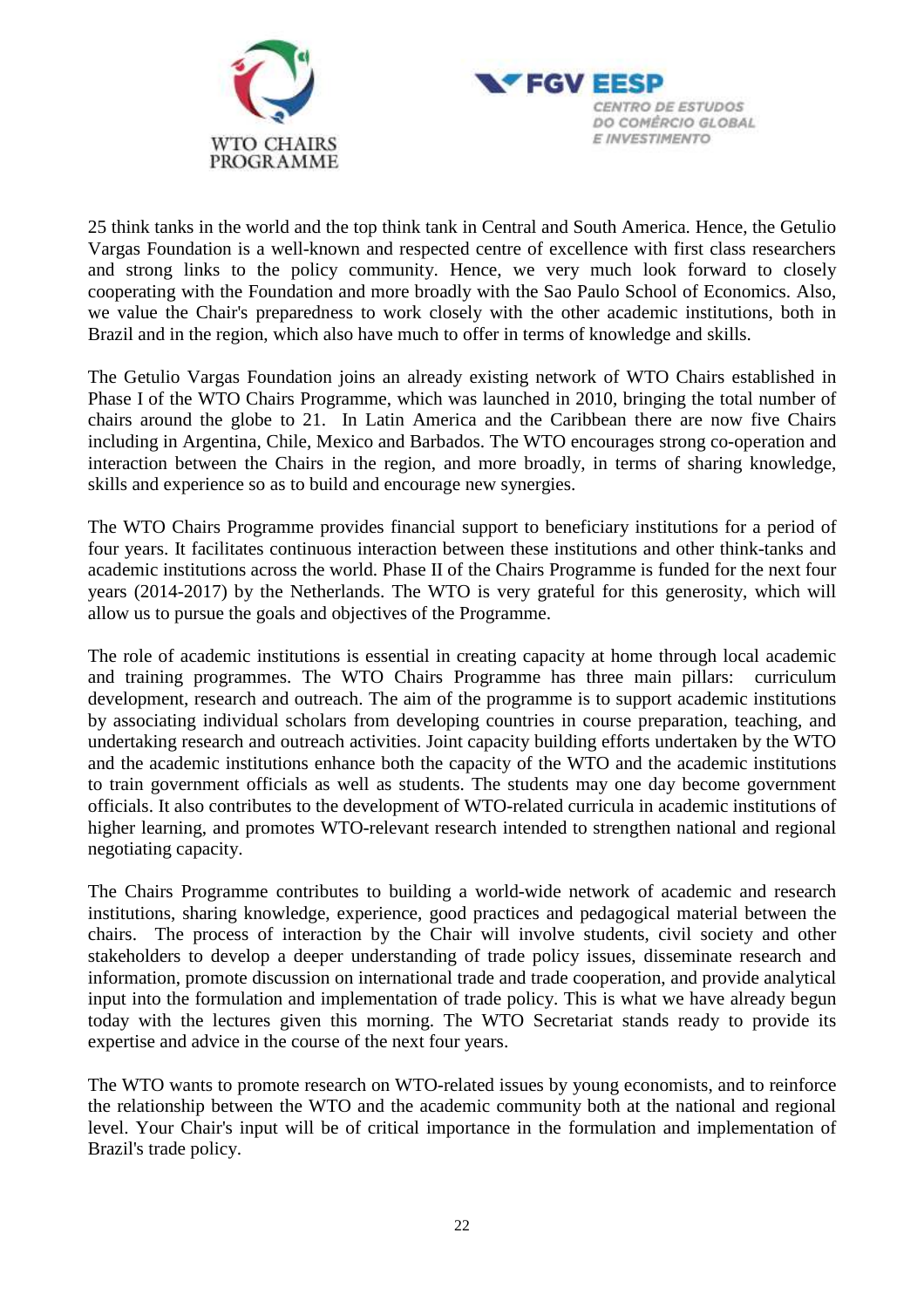



25 think tanks in the world and the top think tank in Central and South America. Hence, the Getulio Vargas Foundation is a well-known and respected centre of excellence with first class researchers and strong links to the policy community. Hence, we very much look forward to closely cooperating with the Foundation and more broadly with the Sao Paulo School of Economics. Also, we value the Chair's preparedness to work closely with the other academic institutions, both in Brazil and in the region, which also have much to offer in terms of knowledge and skills.

The Getulio Vargas Foundation joins an already existing network of WTO Chairs established in Phase I of the WTO Chairs Programme, which was launched in 2010, bringing the total number of chairs around the globe to 21. In Latin America and the Caribbean there are now five Chairs including in Argentina, Chile, Mexico and Barbados. The WTO encourages strong co-operation and interaction between the Chairs in the region, and more broadly, in terms of sharing knowledge, skills and experience so as to build and encourage new synergies.

The WTO Chairs Programme provides financial support to beneficiary institutions for a period of four years. It facilitates continuous interaction between these institutions and other think-tanks and academic institutions across the world. Phase II of the Chairs Programme is funded for the next four years (2014-2017) by the Netherlands. The WTO is very grateful for this generosity, which will allow us to pursue the goals and objectives of the Programme.

The role of academic institutions is essential in creating capacity at home through local academic and training programmes. The WTO Chairs Programme has three main pillars: curriculum development, research and outreach. The aim of the programme is to support academic institutions by associating individual scholars from developing countries in course preparation, teaching, and undertaking research and outreach activities. Joint capacity building efforts undertaken by the WTO and the academic institutions enhance both the capacity of the WTO and the academic institutions to train government officials as well as students. The students may one day become government officials. It also contributes to the development of WTO-related curricula in academic institutions of higher learning, and promotes WTO-relevant research intended to strengthen national and regional negotiating capacity.

The Chairs Programme contributes to building a world-wide network of academic and research institutions, sharing knowledge, experience, good practices and pedagogical material between the chairs. The process of interaction by the Chair will involve students, civil society and other stakeholders to develop a deeper understanding of trade policy issues, disseminate research and information, promote discussion on international trade and trade cooperation, and provide analytical input into the formulation and implementation of trade policy. This is what we have already begun today with the lectures given this morning. The WTO Secretariat stands ready to provide its expertise and advice in the course of the next four years.

The WTO wants to promote research on WTO-related issues by young economists, and to reinforce the relationship between the WTO and the academic community both at the national and regional level. Your Chair's input will be of critical importance in the formulation and implementation of Brazil's trade policy.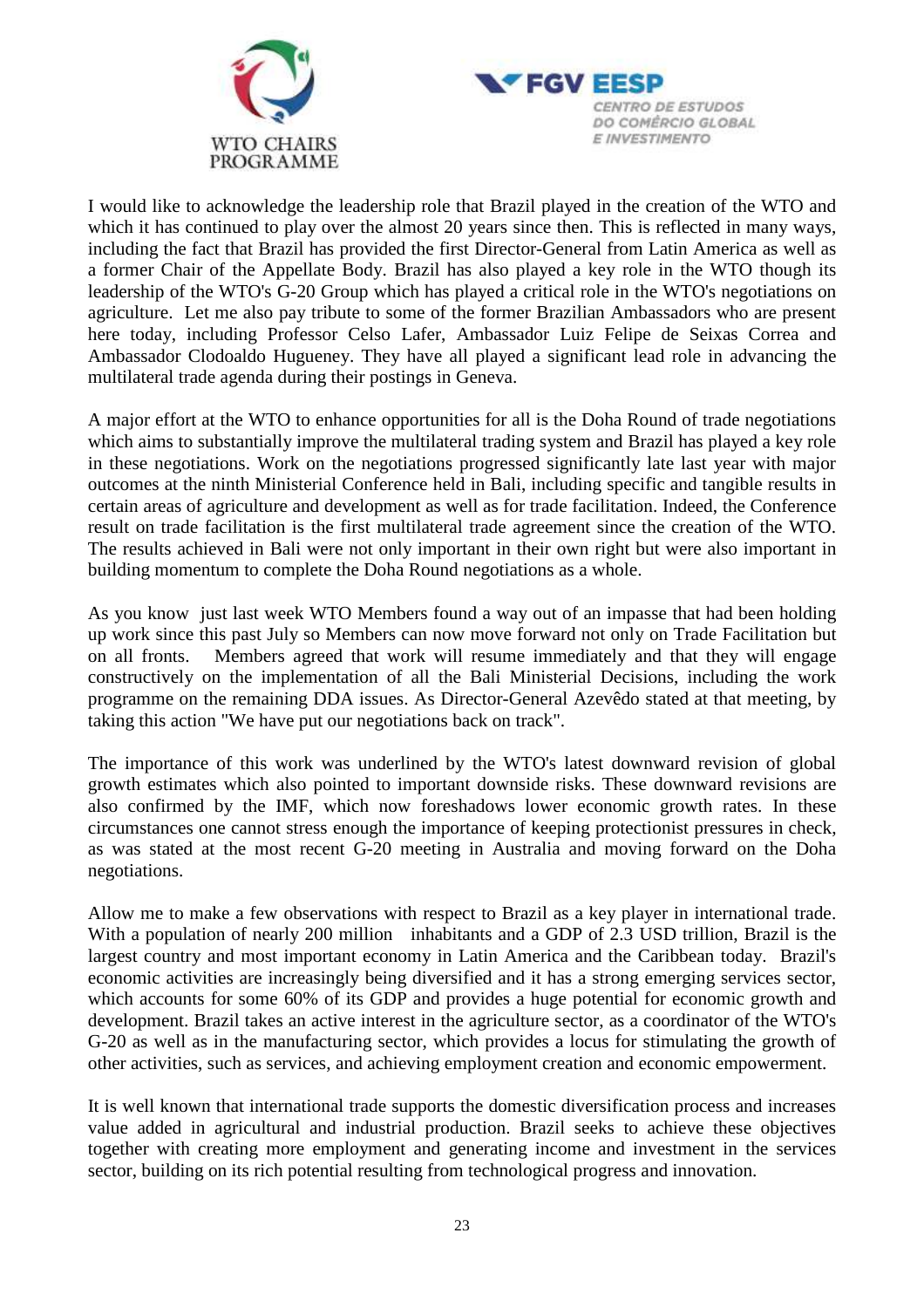



I would like to acknowledge the leadership role that Brazil played in the creation of the WTO and which it has continued to play over the almost 20 years since then. This is reflected in many ways, including the fact that Brazil has provided the first Director-General from Latin America as well as a former Chair of the Appellate Body. Brazil has also played a key role in the WTO though its leadership of the WTO's G-20 Group which has played a critical role in the WTO's negotiations on agriculture. Let me also pay tribute to some of the former Brazilian Ambassadors who are present here today, including Professor Celso Lafer, Ambassador Luiz Felipe de Seixas Correa and Ambassador Clodoaldo Hugueney. They have all played a significant lead role in advancing the multilateral trade agenda during their postings in Geneva.

A major effort at the WTO to enhance opportunities for all is the Doha Round of trade negotiations which aims to substantially improve the multilateral trading system and Brazil has played a key role in these negotiations. Work on the negotiations progressed significantly late last year with major outcomes at the ninth Ministerial Conference held in Bali, including specific and tangible results in certain areas of agriculture and development as well as for trade facilitation. Indeed, the Conference result on trade facilitation is the first multilateral trade agreement since the creation of the WTO. The results achieved in Bali were not only important in their own right but were also important in building momentum to complete the Doha Round negotiations as a whole.

As you know just last week WTO Members found a way out of an impasse that had been holding up work since this past July so Members can now move forward not only on Trade Facilitation but on all fronts. Members agreed that work will resume immediately and that they will engage constructively on the implementation of all the Bali Ministerial Decisions, including the work programme on the remaining DDA issues. As Director-General Azevêdo stated at that meeting, by taking this action "We have put our negotiations back on track".

The importance of this work was underlined by the WTO's latest downward revision of global growth estimates which also pointed to important downside risks. These downward revisions are also confirmed by the IMF, which now foreshadows lower economic growth rates. In these circumstances one cannot stress enough the importance of keeping protectionist pressures in check, as was stated at the most recent G-20 meeting in Australia and moving forward on the Doha negotiations.

Allow me to make a few observations with respect to Brazil as a key player in international trade. With a population of nearly 200 million inhabitants and a GDP of 2.3 USD trillion, Brazil is the largest country and most important economy in Latin America and the Caribbean today. Brazil's economic activities are increasingly being diversified and it has a strong emerging services sector, which accounts for some 60% of its GDP and provides a huge potential for economic growth and development. Brazil takes an active interest in the agriculture sector, as a coordinator of the WTO's G-20 as well as in the manufacturing sector, which provides a locus for stimulating the growth of other activities, such as services, and achieving employment creation and economic empowerment.

It is well known that international trade supports the domestic diversification process and increases value added in agricultural and industrial production. Brazil seeks to achieve these objectives together with creating more employment and generating income and investment in the services sector, building on its rich potential resulting from technological progress and innovation.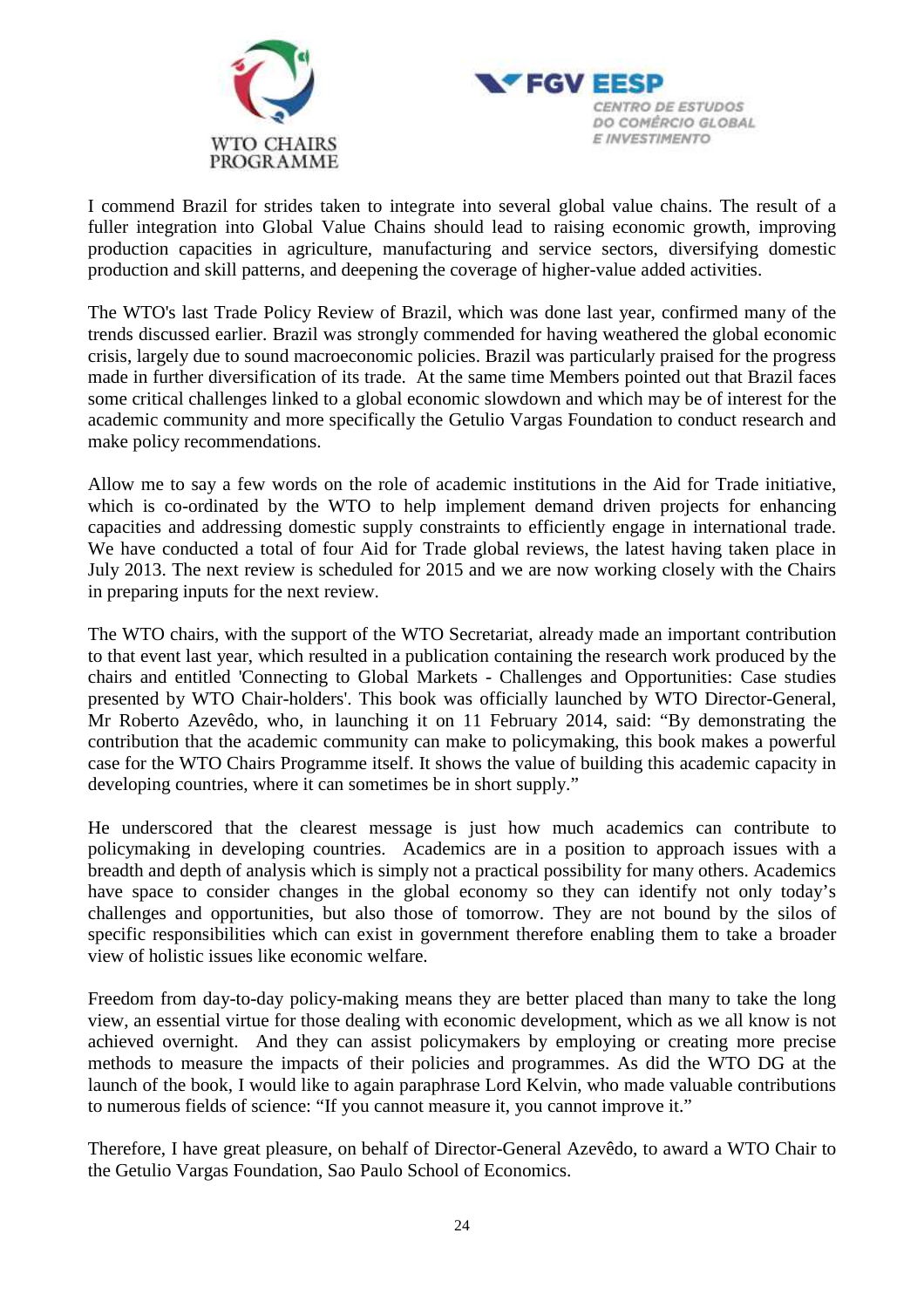



I commend Brazil for strides taken to integrate into several global value chains. The result of a fuller integration into Global Value Chains should lead to raising economic growth, improving production capacities in agriculture, manufacturing and service sectors, diversifying domestic production and skill patterns, and deepening the coverage of higher-value added activities.

The WTO's last Trade Policy Review of Brazil, which was done last year, confirmed many of the trends discussed earlier. Brazil was strongly commended for having weathered the global economic crisis, largely due to sound macroeconomic policies. Brazil was particularly praised for the progress made in further diversification of its trade. At the same time Members pointed out that Brazil faces some critical challenges linked to a global economic slowdown and which may be of interest for the academic community and more specifically the Getulio Vargas Foundation to conduct research and make policy recommendations.

Allow me to say a few words on the role of academic institutions in the Aid for Trade initiative, which is co-ordinated by the WTO to help implement demand driven projects for enhancing capacities and addressing domestic supply constraints to efficiently engage in international trade. We have conducted a total of four Aid for Trade global reviews, the latest having taken place in July 2013. The next review is scheduled for 2015 and we are now working closely with the Chairs in preparing inputs for the next review.

The WTO chairs, with the support of the WTO Secretariat, already made an important contribution to that event last year, which resulted in a publication containing the research work produced by the chairs and entitled 'Connecting to Global Markets - Challenges and Opportunities: Case studies presented by WTO Chair-holders'. This book was officially launched by WTO Director-General, Mr Roberto Azevêdo, who, in launching it on 11 February 2014, said: "By demonstrating the contribution that the academic community can make to policymaking, this book makes a powerful case for the WTO Chairs Programme itself. It shows the value of building this academic capacity in developing countries, where it can sometimes be in short supply."

He underscored that the clearest message is just how much academics can contribute to policymaking in developing countries. Academics are in a position to approach issues with a breadth and depth of analysis which is simply not a practical possibility for many others. Academics have space to consider changes in the global economy so they can identify not only today's challenges and opportunities, but also those of tomorrow. They are not bound by the silos of specific responsibilities which can exist in government therefore enabling them to take a broader view of holistic issues like economic welfare.

Freedom from day-to-day policy-making means they are better placed than many to take the long view, an essential virtue for those dealing with economic development, which as we all know is not achieved overnight. And they can assist policymakers by employing or creating more precise methods to measure the impacts of their policies and programmes. As did the WTO DG at the launch of the book, I would like to again paraphrase Lord Kelvin, who made valuable contributions to numerous fields of science: "If you cannot measure it, you cannot improve it."

Therefore, I have great pleasure, on behalf of Director-General Azevêdo, to award a WTO Chair to the Getulio Vargas Foundation, Sao Paulo School of Economics.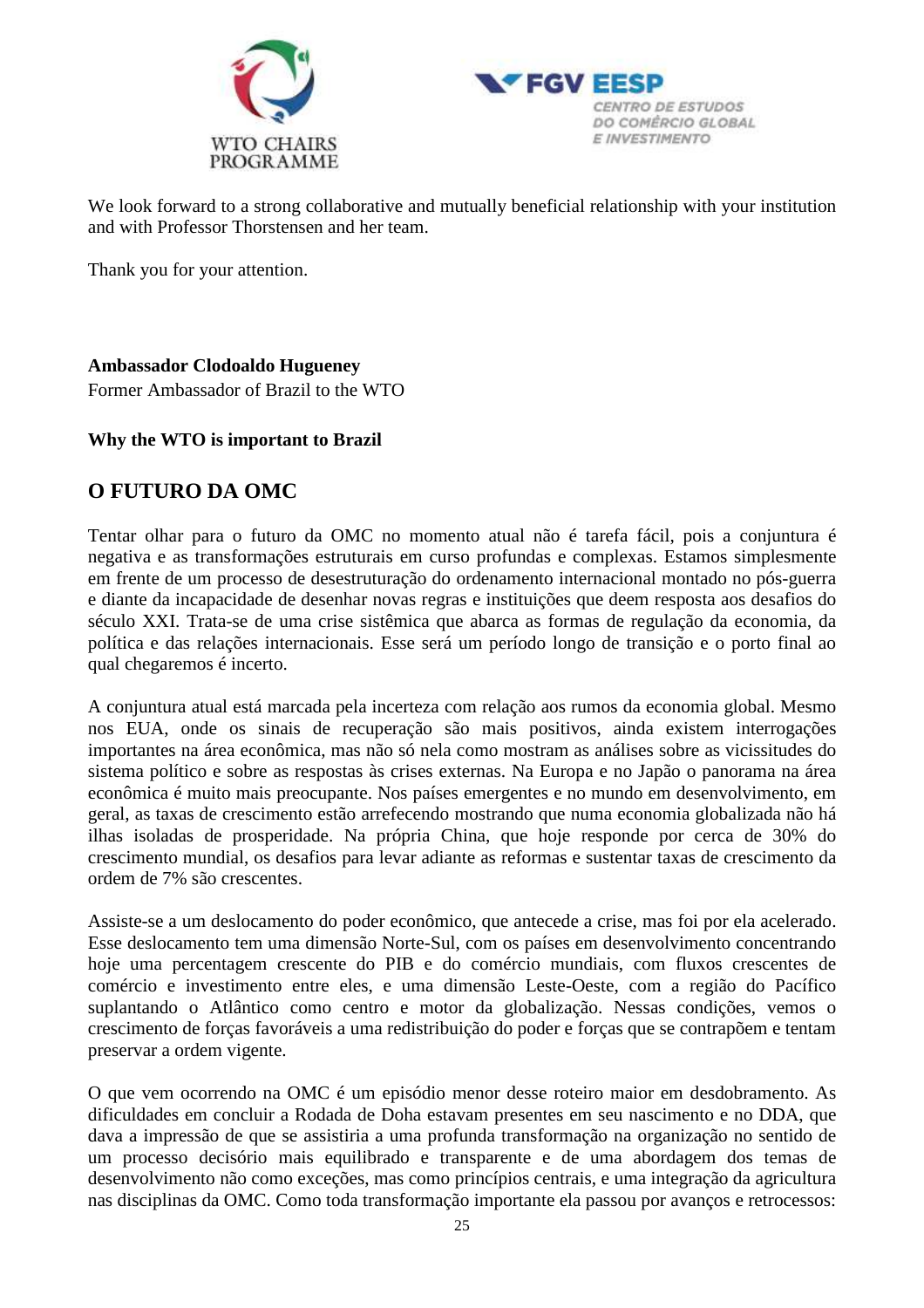



We look forward to a strong collaborative and mutually beneficial relationship with your institution and with Professor Thorstensen and her team.

Thank you for your attention.

# **Ambassador Clodoaldo Hugueney**

Former Ambassador of Brazil to the WTO

## **Why the WTO is important to Brazil**

# **O FUTURO DA OMC**

Tentar olhar para o futuro da OMC no momento atual não é tarefa fácil, pois a conjuntura é negativa e as transformações estruturais em curso profundas e complexas. Estamos simplesmente em frente de um processo de desestruturação do ordenamento internacional montado no pós-guerra e diante da incapacidade de desenhar novas regras e instituições que deem resposta aos desafios do século XXI. Trata-se de uma crise sistêmica que abarca as formas de regulação da economia, da política e das relações internacionais. Esse será um período longo de transição e o porto final ao qual chegaremos é incerto.

A conjuntura atual está marcada pela incerteza com relação aos rumos da economia global. Mesmo nos EUA, onde os sinais de recuperação são mais positivos, ainda existem interrogações importantes na área econômica, mas não só nela como mostram as análises sobre as vicissitudes do sistema político e sobre as respostas às crises externas. Na Europa e no Japão o panorama na área econômica é muito mais preocupante. Nos países emergentes e no mundo em desenvolvimento, em geral, as taxas de crescimento estão arrefecendo mostrando que numa economia globalizada não há ilhas isoladas de prosperidade. Na própria China, que hoje responde por cerca de 30% do crescimento mundial, os desafios para levar adiante as reformas e sustentar taxas de crescimento da ordem de 7% são crescentes.

Assiste-se a um deslocamento do poder econômico, que antecede a crise, mas foi por ela acelerado. Esse deslocamento tem uma dimensão Norte-Sul, com os países em desenvolvimento concentrando hoje uma percentagem crescente do PIB e do comércio mundiais, com fluxos crescentes de comércio e investimento entre eles, e uma dimensão Leste-Oeste, com a região do Pacífico suplantando o Atlântico como centro e motor da globalização. Nessas condições, vemos o crescimento de forças favoráveis a uma redistribuição do poder e forças que se contrapõem e tentam preservar a ordem vigente.

O que vem ocorrendo na OMC é um episódio menor desse roteiro maior em desdobramento. As dificuldades em concluir a Rodada de Doha estavam presentes em seu nascimento e no DDA, que dava a impressão de que se assistiria a uma profunda transformação na organização no sentido de um processo decisório mais equilibrado e transparente e de uma abordagem dos temas de desenvolvimento não como exceções, mas como princípios centrais, e uma integração da agricultura nas disciplinas da OMC. Como toda transformação importante ela passou por avanços e retrocessos: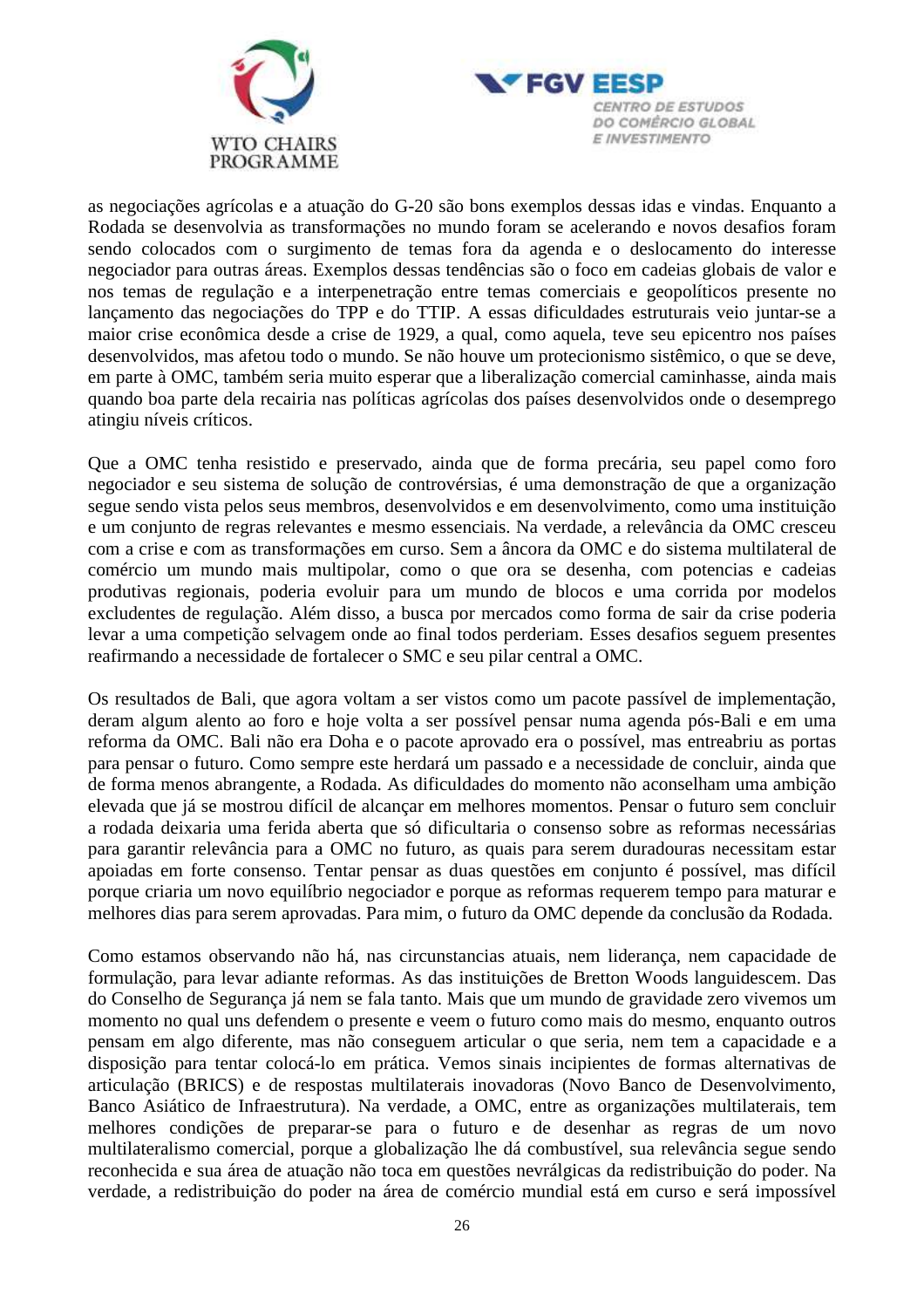



as negociações agrícolas e a atuação do G-20 são bons exemplos dessas idas e vindas. Enquanto a Rodada se desenvolvia as transformações no mundo foram se acelerando e novos desafios foram sendo colocados com o surgimento de temas fora da agenda e o deslocamento do interesse negociador para outras áreas. Exemplos dessas tendências são o foco em cadeias globais de valor e nos temas de regulação e a interpenetração entre temas comerciais e geopolíticos presente no lançamento das negociações do TPP e do TTIP. A essas dificuldades estruturais veio juntar-se a maior crise econômica desde a crise de 1929, a qual, como aquela, teve seu epicentro nos países desenvolvidos, mas afetou todo o mundo. Se não houve um protecionismo sistêmico, o que se deve, em parte à OMC, também seria muito esperar que a liberalização comercial caminhasse, ainda mais quando boa parte dela recairia nas políticas agrícolas dos países desenvolvidos onde o desemprego atingiu níveis críticos.

Que a OMC tenha resistido e preservado, ainda que de forma precária, seu papel como foro negociador e seu sistema de solução de controvérsias, é uma demonstração de que a organização segue sendo vista pelos seus membros, desenvolvidos e em desenvolvimento, como uma instituição e um conjunto de regras relevantes e mesmo essenciais. Na verdade, a relevância da OMC cresceu com a crise e com as transformações em curso. Sem a âncora da OMC e do sistema multilateral de comércio um mundo mais multipolar, como o que ora se desenha, com potencias e cadeias produtivas regionais, poderia evoluir para um mundo de blocos e uma corrida por modelos excludentes de regulação. Além disso, a busca por mercados como forma de sair da crise poderia levar a uma competição selvagem onde ao final todos perderiam. Esses desafios seguem presentes reafirmando a necessidade de fortalecer o SMC e seu pilar central a OMC.

Os resultados de Bali, que agora voltam a ser vistos como um pacote passível de implementação, deram algum alento ao foro e hoje volta a ser possível pensar numa agenda pós-Bali e em uma reforma da OMC. Bali não era Doha e o pacote aprovado era o possível, mas entreabriu as portas para pensar o futuro. Como sempre este herdará um passado e a necessidade de concluir, ainda que de forma menos abrangente, a Rodada. As dificuldades do momento não aconselham uma ambição elevada que já se mostrou difícil de alcançar em melhores momentos. Pensar o futuro sem concluir a rodada deixaria uma ferida aberta que só dificultaria o consenso sobre as reformas necessárias para garantir relevância para a OMC no futuro, as quais para serem duradouras necessitam estar apoiadas em forte consenso. Tentar pensar as duas questões em conjunto é possível, mas difícil porque criaria um novo equilíbrio negociador e porque as reformas requerem tempo para maturar e melhores dias para serem aprovadas. Para mim, o futuro da OMC depende da conclusão da Rodada.

Como estamos observando não há, nas circunstancias atuais, nem liderança, nem capacidade de formulação, para levar adiante reformas. As das instituições de Bretton Woods languidescem. Das do Conselho de Segurança já nem se fala tanto. Mais que um mundo de gravidade zero vivemos um momento no qual uns defendem o presente e veem o futuro como mais do mesmo, enquanto outros pensam em algo diferente, mas não conseguem articular o que seria, nem tem a capacidade e a disposição para tentar colocá-lo em prática. Vemos sinais incipientes de formas alternativas de articulação (BRICS) e de respostas multilaterais inovadoras (Novo Banco de Desenvolvimento, Banco Asiático de Infraestrutura). Na verdade, a OMC, entre as organizações multilaterais, tem melhores condições de preparar-se para o futuro e de desenhar as regras de um novo multilateralismo comercial, porque a globalização lhe dá combustível, sua relevância segue sendo reconhecida e sua área de atuação não toca em questões nevrálgicas da redistribuição do poder. Na verdade, a redistribuição do poder na área de comércio mundial está em curso e será impossível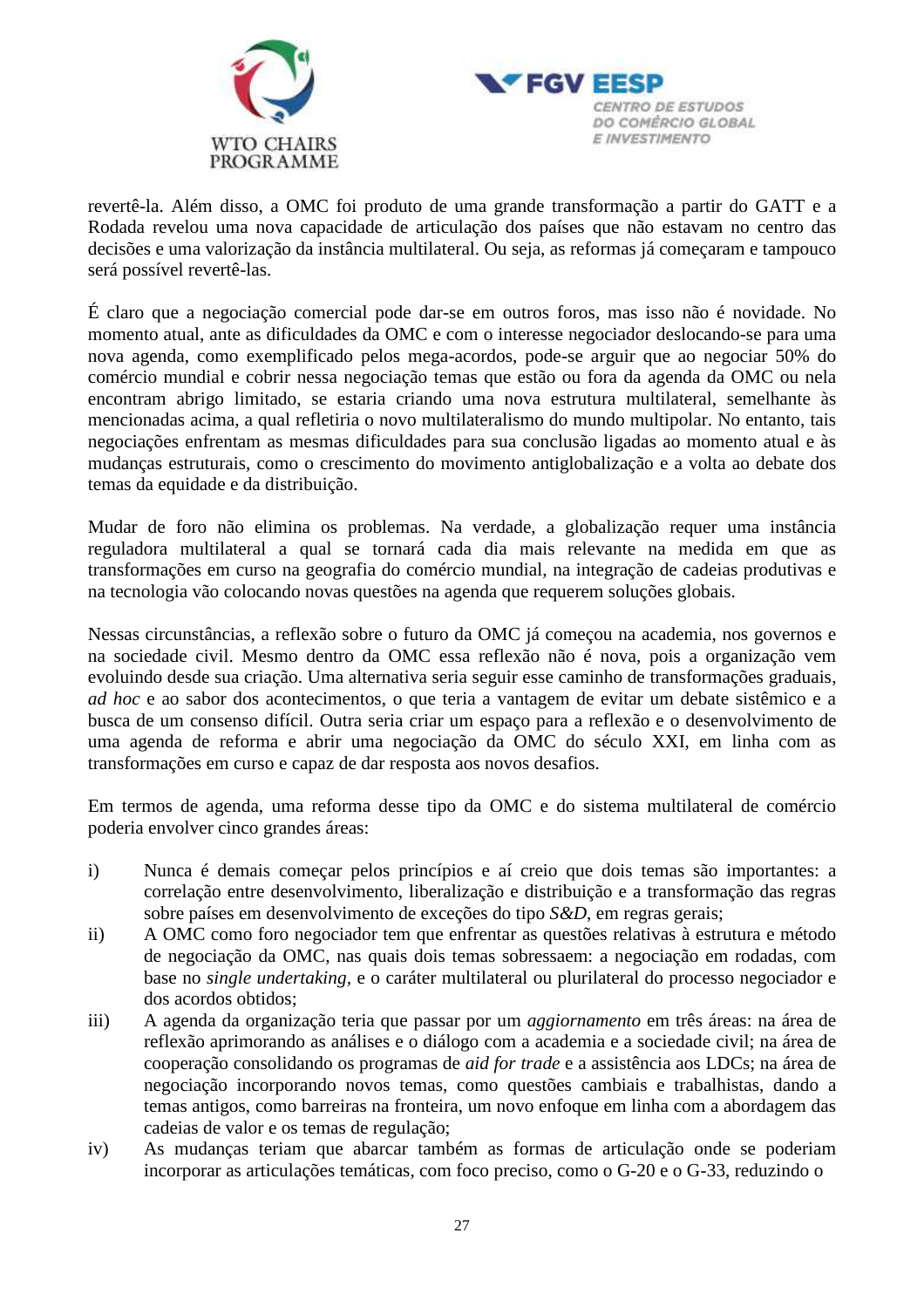



revertê-la. Além disso, a OMC foi produto de uma grande transformação a partir do GATT e a Rodada revelou uma nova capacidade de articulação dos países que não estavam no centro das decisões e uma valorização da instância multilateral. Ou seja, as reformas já começaram e tampouco será possível revertê-las.

É claro que a negociação comercial pode dar-se em outros foros, mas isso não é novidade. No momento atual, ante as dificuldades da OMC e com o interesse negociador deslocando-se para uma nova agenda, como exemplificado pelos mega-acordos, pode-se arguir que ao negociar 50% do comércio mundial e cobrir nessa negociação temas que estão ou fora da agenda da OMC ou nela encontram abrigo limitado, se estaria criando uma nova estrutura multilateral, semelhante às mencionadas acima, a qual refletiria o novo multilateralismo do mundo multipolar. No entanto, tais negociações enfrentam as mesmas dificuldades para sua conclusão ligadas ao momento atual e às mudanças estruturais, como o crescimento do movimento antiglobalização e a volta ao debate dos temas da equidade e da distribuição.

Mudar de foro não elimina os problemas. Na verdade, a globalização requer uma instância reguladora multilateral a qual se tornará cada dia mais relevante na medida em que as transformações em curso na geografia do comércio mundial, na integração de cadeias produtivas e na tecnologia vão colocando novas questões na agenda que requerem soluções globais.

Nessas circunstâncias, a reflexão sobre o futuro da OMC já começou na academia, nos governos e na sociedade civil. Mesmo dentro da OMC essa reflexão não é nova, pois a organização vem evoluindo desde sua criação. Uma alternativa seria seguir esse caminho de transformações graduais, *ad hoc* e ao sabor dos acontecimentos, o que teria a vantagem de evitar um debate sistêmico e a busca de um consenso difícil. Outra seria criar um espaço para a reflexão e o desenvolvimento de uma agenda de reforma e abrir uma negociação da OMC do século XXI, em linha com as transformações em curso e capaz de dar resposta aos novos desafios.

Em termos de agenda, uma reforma desse tipo da OMC e do sistema multilateral de comércio poderia envolver cinco grandes áreas:

- i) Nunca é demais começar pelos princípios e aí creio que dois temas são importantes: a correlação entre desenvolvimento, liberalização e distribuição e a transformação das regras sobre países em desenvolvimento de exceções do tipo *S&D*, em regras gerais;
- ii) A OMC como foro negociador tem que enfrentar as questões relativas à estrutura e método de negociação da OMC, nas quais dois temas sobressaem: a negociação em rodadas, com base no *single undertaking,* e o caráter multilateral ou plurilateral do processo negociador e dos acordos obtidos;
- iii) A agenda da organização teria que passar por um *aggiornamento* em três áreas: na área de reflexão aprimorando as análises e o diálogo com a academia e a sociedade civil; na área de cooperação consolidando os programas de *aid for trade* e a assistência aos LDCs; na área de negociação incorporando novos temas, como questões cambiais e trabalhistas, dando a temas antigos, como barreiras na fronteira, um novo enfoque em linha com a abordagem das cadeias de valor e os temas de regulação;
- iv) As mudanças teriam que abarcar também as formas de articulação onde se poderiam incorporar as articulações temáticas, com foco preciso, como o G-20 e o G-33, reduzindo o